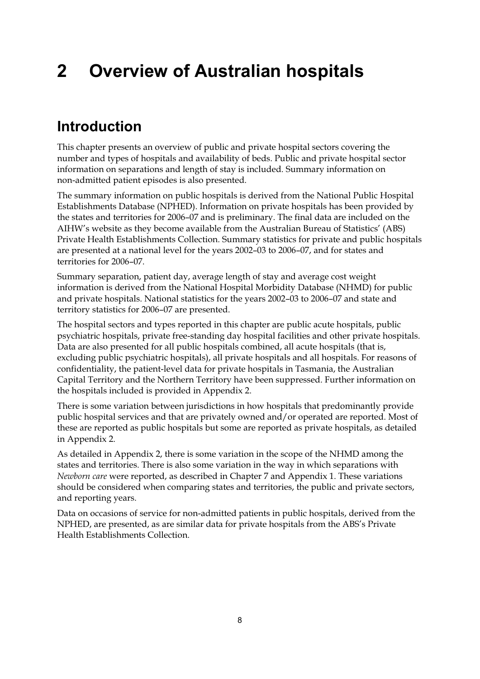# **2 Overview of Australian hospitals**

# **Introduction**

This chapter presents an overview of public and private hospital sectors covering the number and types of hospitals and availability of beds. Public and private hospital sector information on separations and length of stay is included. Summary information on non-admitted patient episodes is also presented.

The summary information on public hospitals is derived from the National Public Hospital Establishments Database (NPHED). Information on private hospitals has been provided by the states and territories for 2006–07 and is preliminary. The final data are included on the AIHW's website as they become available from the Australian Bureau of Statistics' (ABS) Private Health Establishments Collection. Summary statistics for private and public hospitals are presented at a national level for the years 2002–03 to 2006–07, and for states and territories for 2006–07.

Summary separation, patient day, average length of stay and average cost weight information is derived from the National Hospital Morbidity Database (NHMD) for public and private hospitals. National statistics for the years 2002–03 to 2006–07 and state and territory statistics for 2006–07 are presented.

The hospital sectors and types reported in this chapter are public acute hospitals, public psychiatric hospitals, private free-standing day hospital facilities and other private hospitals. Data are also presented for all public hospitals combined, all acute hospitals (that is, excluding public psychiatric hospitals), all private hospitals and all hospitals. For reasons of confidentiality, the patient-level data for private hospitals in Tasmania, the Australian Capital Territory and the Northern Territory have been suppressed. Further information on the hospitals included is provided in Appendix 2.

There is some variation between jurisdictions in how hospitals that predominantly provide public hospital services and that are privately owned and/or operated are reported. Most of these are reported as public hospitals but some are reported as private hospitals, as detailed in Appendix 2.

As detailed in Appendix 2, there is some variation in the scope of the NHMD among the states and territories. There is also some variation in the way in which separations with *Newborn care* were reported, as described in Chapter 7 and Appendix 1. These variations should be considered when comparing states and territories, the public and private sectors, and reporting years.

Data on occasions of service for non-admitted patients in public hospitals, derived from the NPHED, are presented, as are similar data for private hospitals from the ABS's Private Health Establishments Collection.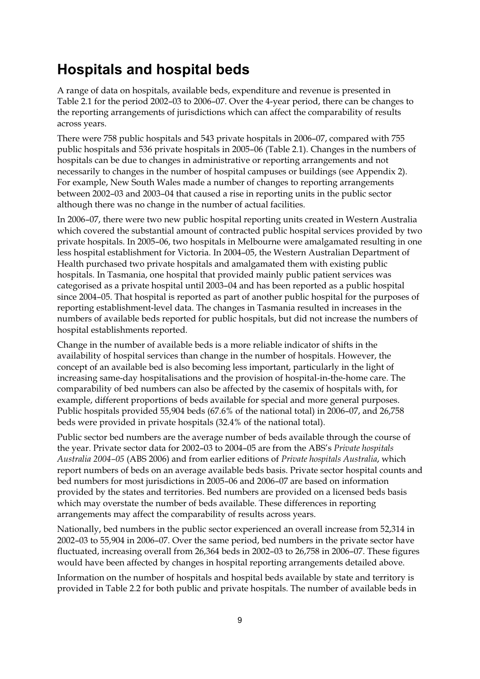# **Hospitals and hospital beds**

A range of data on hospitals, available beds, expenditure and revenue is presented in Table 2.1 for the period 2002–03 to 2006–07. Over the 4-year period, there can be changes to the reporting arrangements of jurisdictions which can affect the comparability of results across years.

There were 758 public hospitals and 543 private hospitals in 2006–07, compared with 755 public hospitals and 536 private hospitals in 2005–06 (Table 2.1). Changes in the numbers of hospitals can be due to changes in administrative or reporting arrangements and not necessarily to changes in the number of hospital campuses or buildings (see Appendix 2). For example, New South Wales made a number of changes to reporting arrangements between 2002–03 and 2003–04 that caused a rise in reporting units in the public sector although there was no change in the number of actual facilities.

In 2006–07, there were two new public hospital reporting units created in Western Australia which covered the substantial amount of contracted public hospital services provided by two private hospitals. In 2005–06, two hospitals in Melbourne were amalgamated resulting in one less hospital establishment for Victoria. In 2004–05, the Western Australian Department of Health purchased two private hospitals and amalgamated them with existing public hospitals. In Tasmania, one hospital that provided mainly public patient services was categorised as a private hospital until 2003–04 and has been reported as a public hospital since 2004–05. That hospital is reported as part of another public hospital for the purposes of reporting establishment-level data. The changes in Tasmania resulted in increases in the numbers of available beds reported for public hospitals, but did not increase the numbers of hospital establishments reported.

Change in the number of available beds is a more reliable indicator of shifts in the availability of hospital services than change in the number of hospitals. However, the concept of an available bed is also becoming less important, particularly in the light of increasing same-day hospitalisations and the provision of hospital-in-the-home care. The comparability of bed numbers can also be affected by the casemix of hospitals with, for example, different proportions of beds available for special and more general purposes. Public hospitals provided 55,904 beds (67.6% of the national total) in 2006–07, and 26,758 beds were provided in private hospitals (32.4% of the national total).

Public sector bed numbers are the average number of beds available through the course of the year. Private sector data for 2002–03 to 2004–05 are from the ABS's *Private hospitals Australia 2004–05* (ABS 2006) and from earlier editions of *Private hospitals Australia*, which report numbers of beds on an average available beds basis. Private sector hospital counts and bed numbers for most jurisdictions in 2005–06 and 2006–07 are based on information provided by the states and territories. Bed numbers are provided on a licensed beds basis which may overstate the number of beds available. These differences in reporting arrangements may affect the comparability of results across years.

Nationally, bed numbers in the public sector experienced an overall increase from 52,314 in 2002–03 to 55,904 in 2006–07. Over the same period, bed numbers in the private sector have fluctuated, increasing overall from 26,364 beds in 2002–03 to 26,758 in 2006–07. These figures would have been affected by changes in hospital reporting arrangements detailed above.

Information on the number of hospitals and hospital beds available by state and territory is provided in Table 2.2 for both public and private hospitals. The number of available beds in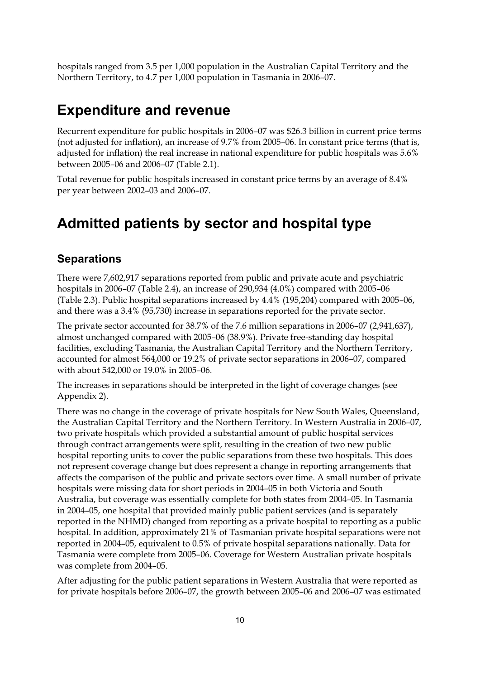hospitals ranged from 3.5 per 1,000 population in the Australian Capital Territory and the Northern Territory, to 4.7 per 1,000 population in Tasmania in 2006–07.

# **Expenditure and revenue**

Recurrent expenditure for public hospitals in 2006–07 was \$26.3 billion in current price terms (not adjusted for inflation), an increase of 9.7% from 2005–06. In constant price terms (that is, adjusted for inflation) the real increase in national expenditure for public hospitals was 5.6% between 2005–06 and 2006–07 (Table 2.1).

Total revenue for public hospitals increased in constant price terms by an average of 8.4% per year between 2002–03 and 2006–07.

# **Admitted patients by sector and hospital type**

### **Separations**

There were 7,602,917 separations reported from public and private acute and psychiatric hospitals in 2006–07 (Table 2.4), an increase of 290,934 (4.0%) compared with 2005–06 (Table 2.3). Public hospital separations increased by 4.4% (195,204) compared with 2005–06, and there was a 3.4% (95,730) increase in separations reported for the private sector.

The private sector accounted for 38.7% of the 7.6 million separations in 2006–07 (2,941,637), almost unchanged compared with 2005–06 (38.9%). Private free-standing day hospital facilities, excluding Tasmania, the Australian Capital Territory and the Northern Territory, accounted for almost 564,000 or 19.2% of private sector separations in 2006–07, compared with about 542,000 or 19.0% in 2005–06.

The increases in separations should be interpreted in the light of coverage changes (see Appendix 2).

There was no change in the coverage of private hospitals for New South Wales, Queensland, the Australian Capital Territory and the Northern Territory. In Western Australia in 2006–07, two private hospitals which provided a substantial amount of public hospital services through contract arrangements were split, resulting in the creation of two new public hospital reporting units to cover the public separations from these two hospitals. This does not represent coverage change but does represent a change in reporting arrangements that affects the comparison of the public and private sectors over time. A small number of private hospitals were missing data for short periods in 2004–05 in both Victoria and South Australia, but coverage was essentially complete for both states from 2004–05. In Tasmania in 2004–05, one hospital that provided mainly public patient services (and is separately reported in the NHMD) changed from reporting as a private hospital to reporting as a public hospital. In addition, approximately 21% of Tasmanian private hospital separations were not reported in 2004–05, equivalent to 0.5% of private hospital separations nationally. Data for Tasmania were complete from 2005–06. Coverage for Western Australian private hospitals was complete from 2004–05.

After adjusting for the public patient separations in Western Australia that were reported as for private hospitals before 2006–07, the growth between 2005–06 and 2006–07 was estimated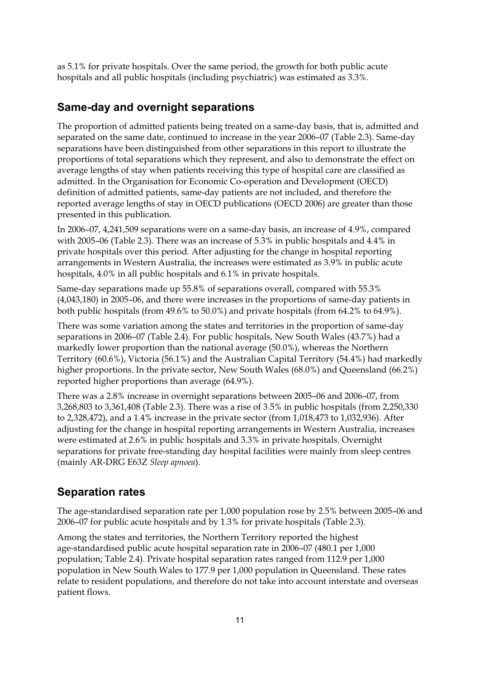as 5.1% for private hospitals. Over the same period, the growth for both public acute hospitals and all public hospitals (including psychiatric) was estimated as 3.3%.

## **Same-day and overnight separations**

The proportion of admitted patients being treated on a same-day basis, that is, admitted and separated on the same date, continued to increase in the year 2006–07 (Table 2.3). Same-day separations have been distinguished from other separations in this report to illustrate the proportions of total separations which they represent, and also to demonstrate the effect on average lengths of stay when patients receiving this type of hospital care are classified as admitted. In the Organisation for Economic Co-operation and Development (OECD) definition of admitted patients, same-day patients are not included, and therefore the reported average lengths of stay in OECD publications (OECD 2006) are greater than those presented in this publication.

In 2006–07, 4,241,509 separations were on a same-day basis, an increase of 4.9%, compared with 2005–06 (Table 2.3). There was an increase of 5.3% in public hospitals and 4.4% in private hospitals over this period. After adjusting for the change in hospital reporting arrangements in Western Australia, the increases were estimated as 3.9% in public acute hospitals, 4.0% in all public hospitals and 6.1% in private hospitals.

Same-day separations made up 55.8% of separations overall, compared with 55.3% (4,043,180) in 2005–06, and there were increases in the proportions of same-day patients in both public hospitals (from 49.6% to 50.0%) and private hospitals (from 64.2% to 64.9%).

There was some variation among the states and territories in the proportion of same-day separations in 2006–07 (Table 2.4). For public hospitals, New South Wales (43.7%) had a markedly lower proportion than the national average (50.0%), whereas the Northern Territory (60.6%), Victoria (56.1%) and the Australian Capital Territory (54.4%) had markedly higher proportions. In the private sector, New South Wales (68.0%) and Queensland (66.2%) reported higher proportions than average (64.9%).

There was a 2.8% increase in overnight separations between 2005–06 and 2006–07, from 3,268,803 to 3,361,408 (Table 2.3). There was a rise of 3.5% in public hospitals (from 2,250,330 to 2,328,472), and a 1.4% increase in the private sector (from 1,018,473 to 1,032,936). After adjusting for the change in hospital reporting arrangements in Western Australia, increases were estimated at 2.6% in public hospitals and 3.3% in private hospitals. Overnight separations for private free-standing day hospital facilities were mainly from sleep centres (mainly AR-DRG E63Z *Sleep apnoea*).

## **Separation rates**

The age-standardised separation rate per 1,000 population rose by 2.5% between 2005–06 and 2006–07 for public acute hospitals and by 1.3% for private hospitals (Table 2.3).

Among the states and territories, the Northern Territory reported the highest age-standardised public acute hospital separation rate in 2006–07 (480.1 per 1,000 population; Table 2.4). Private hospital separation rates ranged from 112.9 per 1,000 population in New South Wales to 177.9 per 1,000 population in Queensland. These rates relate to resident populations, and therefore do not take into account interstate and overseas patient flows.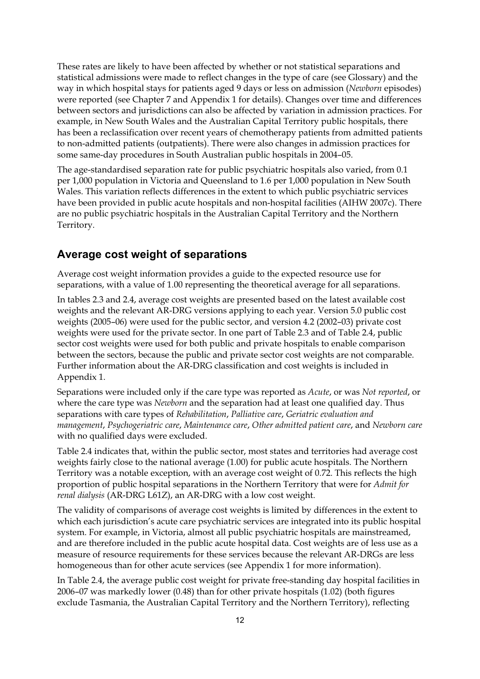These rates are likely to have been affected by whether or not statistical separations and statistical admissions were made to reflect changes in the type of care (see Glossary) and the way in which hospital stays for patients aged 9 days or less on admission (*Newborn* episodes) were reported (see Chapter 7 and Appendix 1 for details). Changes over time and differences between sectors and jurisdictions can also be affected by variation in admission practices. For example, in New South Wales and the Australian Capital Territory public hospitals, there has been a reclassification over recent years of chemotherapy patients from admitted patients to non-admitted patients (outpatients). There were also changes in admission practices for some same-day procedures in South Australian public hospitals in 2004–05.

The age-standardised separation rate for public psychiatric hospitals also varied, from 0.1 per 1,000 population in Victoria and Queensland to 1.6 per 1,000 population in New South Wales. This variation reflects differences in the extent to which public psychiatric services have been provided in public acute hospitals and non-hospital facilities (AIHW 2007c). There are no public psychiatric hospitals in the Australian Capital Territory and the Northern Territory.

## **Average cost weight of separations**

Average cost weight information provides a guide to the expected resource use for separations, with a value of 1.00 representing the theoretical average for all separations.

In tables 2.3 and 2.4, average cost weights are presented based on the latest available cost weights and the relevant AR-DRG versions applying to each year. Version 5.0 public cost weights (2005–06) were used for the public sector, and version 4.2 (2002–03) private cost weights were used for the private sector. In one part of Table 2.3 and of Table 2.4, public sector cost weights were used for both public and private hospitals to enable comparison between the sectors, because the public and private sector cost weights are not comparable. Further information about the AR-DRG classification and cost weights is included in Appendix 1.

Separations were included only if the care type was reported as *Acute*, or was *Not reported*, or where the care type was *Newborn* and the separation had at least one qualified day. Thus separations with care types of *Rehabilitation*, *Palliative care*, *Geriatric evaluation and management*, *Psychogeriatric care*, *Maintenance care*, *Other admitted patient care*, and *Newborn care* with no qualified days were excluded.

Table 2.4 indicates that, within the public sector, most states and territories had average cost weights fairly close to the national average (1.00) for public acute hospitals. The Northern Territory was a notable exception, with an average cost weight of 0.72. This reflects the high proportion of public hospital separations in the Northern Territory that were for *Admit for renal dialysis* (AR-DRG L61Z), an AR-DRG with a low cost weight.

The validity of comparisons of average cost weights is limited by differences in the extent to which each jurisdiction's acute care psychiatric services are integrated into its public hospital system. For example, in Victoria, almost all public psychiatric hospitals are mainstreamed, and are therefore included in the public acute hospital data. Cost weights are of less use as a measure of resource requirements for these services because the relevant AR-DRGs are less homogeneous than for other acute services (see Appendix 1 for more information).

In Table 2.4, the average public cost weight for private free-standing day hospital facilities in 2006–07 was markedly lower (0.48) than for other private hospitals (1.02) (both figures exclude Tasmania, the Australian Capital Territory and the Northern Territory), reflecting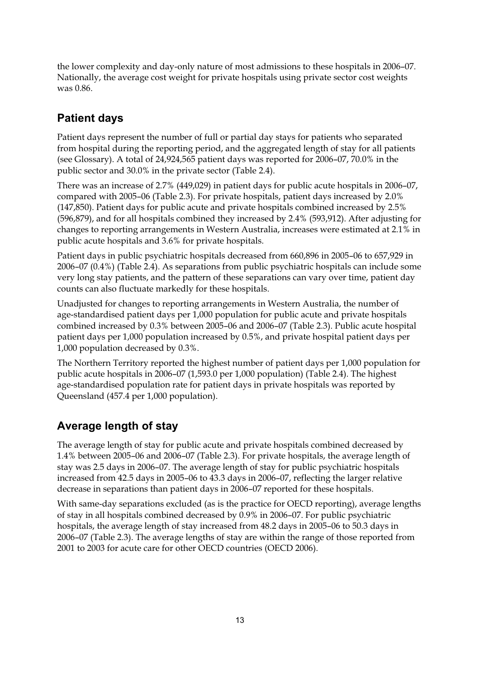the lower complexity and day-only nature of most admissions to these hospitals in 2006–07. Nationally, the average cost weight for private hospitals using private sector cost weights was 0.86.

# **Patient days**

Patient days represent the number of full or partial day stays for patients who separated from hospital during the reporting period, and the aggregated length of stay for all patients (see Glossary). A total of 24,924,565 patient days was reported for 2006–07, 70.0% in the public sector and 30.0% in the private sector (Table 2.4).

There was an increase of 2.7% (449,029) in patient days for public acute hospitals in 2006–07, compared with 2005–06 (Table 2.3). For private hospitals, patient days increased by 2.0% (147,850). Patient days for public acute and private hospitals combined increased by 2.5% (596,879), and for all hospitals combined they increased by 2.4% (593,912). After adjusting for changes to reporting arrangements in Western Australia, increases were estimated at 2.1% in public acute hospitals and 3.6% for private hospitals.

Patient days in public psychiatric hospitals decreased from 660,896 in 2005–06 to 657,929 in 2006–07 (0.4%) (Table 2.4). As separations from public psychiatric hospitals can include some very long stay patients, and the pattern of these separations can vary over time, patient day counts can also fluctuate markedly for these hospitals.

Unadjusted for changes to reporting arrangements in Western Australia, the number of age-standardised patient days per 1,000 population for public acute and private hospitals combined increased by 0.3% between 2005–06 and 2006–07 (Table 2.3). Public acute hospital patient days per 1,000 population increased by 0.5%, and private hospital patient days per 1,000 population decreased by 0.3%.

The Northern Territory reported the highest number of patient days per 1,000 population for public acute hospitals in 2006–07 (1,593.0 per 1,000 population) (Table 2.4). The highest age-standardised population rate for patient days in private hospitals was reported by Queensland (457.4 per 1,000 population).

# **Average length of stay**

The average length of stay for public acute and private hospitals combined decreased by 1.4% between 2005–06 and 2006–07 (Table 2.3). For private hospitals, the average length of stay was 2.5 days in 2006–07. The average length of stay for public psychiatric hospitals increased from 42.5 days in 2005–06 to 43.3 days in 2006–07, reflecting the larger relative decrease in separations than patient days in 2006–07 reported for these hospitals.

With same-day separations excluded (as is the practice for OECD reporting), average lengths of stay in all hospitals combined decreased by 0.9% in 2006–07. For public psychiatric hospitals, the average length of stay increased from 48.2 days in 2005–06 to 50.3 days in 2006–07 (Table 2.3). The average lengths of stay are within the range of those reported from 2001 to 2003 for acute care for other OECD countries (OECD 2006).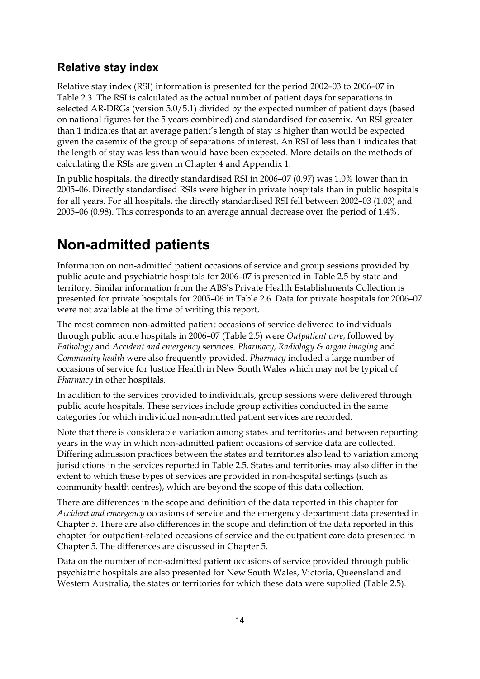## **Relative stay index**

Relative stay index (RSI) information is presented for the period 2002–03 to 2006–07 in Table 2.3. The RSI is calculated as the actual number of patient days for separations in selected AR-DRGs (version 5.0/5.1) divided by the expected number of patient days (based on national figures for the 5 years combined) and standardised for casemix. An RSI greater than 1 indicates that an average patient's length of stay is higher than would be expected given the casemix of the group of separations of interest. An RSI of less than 1 indicates that the length of stay was less than would have been expected. More details on the methods of calculating the RSIs are given in Chapter 4 and Appendix 1.

In public hospitals, the directly standardised RSI in 2006–07 (0.97) was 1.0% lower than in 2005–06. Directly standardised RSIs were higher in private hospitals than in public hospitals for all years. For all hospitals, the directly standardised RSI fell between 2002–03 (1.03) and 2005–06 (0.98). This corresponds to an average annual decrease over the period of 1.4%.

# **Non-admitted patients**

Information on non-admitted patient occasions of service and group sessions provided by public acute and psychiatric hospitals for 2006–07 is presented in Table 2.5 by state and territory. Similar information from the ABS's Private Health Establishments Collection is presented for private hospitals for 2005–06 in Table 2.6. Data for private hospitals for 2006–07 were not available at the time of writing this report.

The most common non-admitted patient occasions of service delivered to individuals through public acute hospitals in 2006–07 (Table 2.5) were *Outpatient care*, followed by *Pathology* and *Accident and emergency* services. *Pharmacy*, *Radiology & organ imaging* and *Community health* were also frequently provided. *Pharmacy* included a large number of occasions of service for Justice Health in New South Wales which may not be typical of *Pharmacy* in other hospitals.

In addition to the services provided to individuals, group sessions were delivered through public acute hospitals. These services include group activities conducted in the same categories for which individual non-admitted patient services are recorded.

Note that there is considerable variation among states and territories and between reporting years in the way in which non-admitted patient occasions of service data are collected. Differing admission practices between the states and territories also lead to variation among jurisdictions in the services reported in Table 2.5. States and territories may also differ in the extent to which these types of services are provided in non-hospital settings (such as community health centres), which are beyond the scope of this data collection.

There are differences in the scope and definition of the data reported in this chapter for *Accident and emergency* occasions of service and the emergency department data presented in Chapter 5. There are also differences in the scope and definition of the data reported in this chapter for outpatient-related occasions of service and the outpatient care data presented in Chapter 5. The differences are discussed in Chapter 5.

Data on the number of non-admitted patient occasions of service provided through public psychiatric hospitals are also presented for New South Wales, Victoria, Queensland and Western Australia, the states or territories for which these data were supplied (Table 2.5).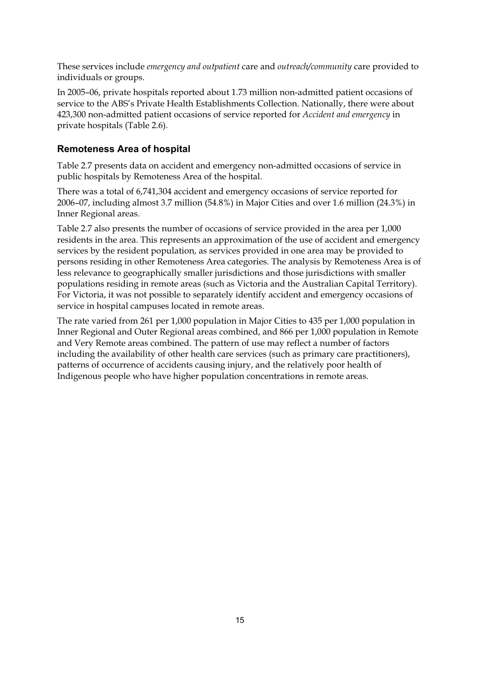These services include *emergency and outpatient* care and *outreach/community* care provided to individuals or groups.

In 2005–06, private hospitals reported about 1.73 million non-admitted patient occasions of service to the ABS's Private Health Establishments Collection. Nationally, there were about 423,300 non-admitted patient occasions of service reported for *Accident and emergency* in private hospitals (Table 2.6).

## **Remoteness Area of hospital**

Table 2.7 presents data on accident and emergency non-admitted occasions of service in public hospitals by Remoteness Area of the hospital.

There was a total of 6,741,304 accident and emergency occasions of service reported for 2006–07, including almost 3.7 million (54.8%) in Major Cities and over 1.6 million (24.3%) in Inner Regional areas.

Table 2.7 also presents the number of occasions of service provided in the area per 1,000 residents in the area. This represents an approximation of the use of accident and emergency services by the resident population, as services provided in one area may be provided to persons residing in other Remoteness Area categories. The analysis by Remoteness Area is of less relevance to geographically smaller jurisdictions and those jurisdictions with smaller populations residing in remote areas (such as Victoria and the Australian Capital Territory). For Victoria, it was not possible to separately identify accident and emergency occasions of service in hospital campuses located in remote areas.

The rate varied from 261 per 1,000 population in Major Cities to 435 per 1,000 population in Inner Regional and Outer Regional areas combined, and 866 per 1,000 population in Remote and Very Remote areas combined. The pattern of use may reflect a number of factors including the availability of other health care services (such as primary care practitioners), patterns of occurrence of accidents causing injury, and the relatively poor health of Indigenous people who have higher population concentrations in remote areas.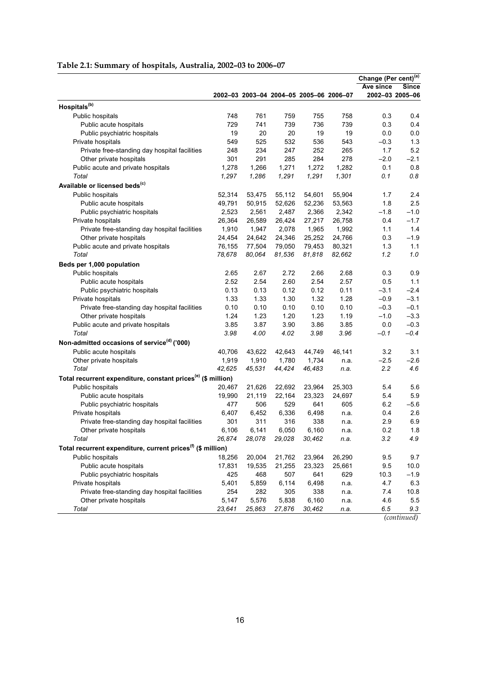|                                                                          |                  |              |                                         |        |        | Change (Per cent) <sup>(a)</sup> |                          |
|--------------------------------------------------------------------------|------------------|--------------|-----------------------------------------|--------|--------|----------------------------------|--------------------------|
|                                                                          |                  |              | 2002-03 2003-04 2004-05 2005-06 2006-07 |        |        | Ave since                        | Since<br>2002-03 2005-06 |
| Hospitals <sup>(b)</sup>                                                 |                  |              |                                         |        |        |                                  |                          |
| Public hospitals                                                         | 748              | 761          | 759                                     | 755    | 758    | 0.3                              | 0.4                      |
| Public acute hospitals                                                   | 729              | 741          | 739                                     | 736    | 739    | 0.3                              | 0.4                      |
| Public psychiatric hospitals                                             | 19               | 20           | 20                                      | 19     | 19     | 0.0                              | 0.0                      |
| Private hospitals                                                        | 549              | 525          | 532                                     | 536    | 543    | $-0.3$                           | 1.3                      |
| Private free-standing day hospital facilities                            | 248              | 234          | 247                                     | 252    | 265    | 1.7                              | 5.2                      |
| Other private hospitals                                                  | 301              | 291          | 285                                     | 284    | 278    | $-2.0$                           | $-2.1$                   |
| Public acute and private hospitals                                       | 1,278            | 1,266        | 1,271                                   | 1,272  | 1,282  | 0.1                              | 0.8                      |
| Total                                                                    | 1,297            | 1,286        | 1,291                                   | 1,291  | 1,301  | 0.1                              | $0.8\,$                  |
| Available or licensed beds <sup>(c)</sup>                                |                  |              |                                         |        |        |                                  |                          |
| Public hospitals                                                         | 52,314           | 53,475       | 55,112                                  | 54,601 | 55,904 | 1.7                              | 2.4                      |
| Public acute hospitals                                                   | 49,791           | 50,915       | 52,626                                  | 52,236 | 53,563 | 1.8                              | 2.5                      |
| Public psychiatric hospitals                                             | 2,523            | 2,561        | 2,487                                   | 2,366  | 2,342  | $-1.8$                           | $-1.0$                   |
| Private hospitals                                                        | 26,364           | 26,589       | 26,424                                  | 27,217 | 26,758 | 0.4                              | $-1.7$                   |
| Private free-standing day hospital facilities                            | 1,910            | 1,947        | 2,078                                   | 1,965  | 1,992  | 1.1                              | 1.4                      |
| Other private hospitals                                                  | 24,454           | 24,642       | 24,346                                  | 25,252 | 24,766 | 0.3                              | $-1.9$                   |
| Public acute and private hospitals                                       | 76,155           | 77,504       | 79,050                                  | 79,453 | 80,321 | 1.3                              | 1.1                      |
| Total                                                                    | 78,678           | 80,064       | 81,536                                  | 81,818 | 82,662 | 1.2                              | 1.0                      |
| Beds per 1,000 population                                                |                  |              |                                         |        |        |                                  |                          |
| Public hospitals                                                         | 2.65             | 2.67         | 2.72                                    | 2.66   | 2.68   | 0.3                              | 0.9                      |
| Public acute hospitals                                                   | 2.52             | 2.54         | 2.60                                    | 2.54   | 2.57   | 0.5                              | 1.1                      |
| Public psychiatric hospitals                                             | 0.13             | 0.13         | 0.12                                    | 0.12   | 0.11   | $-3.1$                           | $-2.4$                   |
| Private hospitals                                                        | 1.33             | 1.33         | 1.30                                    | 1.32   | 1.28   | $-0.9$                           | $-3.1$                   |
| Private free-standing day hospital facilities                            | 0.10             | 0.10         | 0.10                                    | 0.10   | 0.10   | $-0.3$                           | $-0.1$                   |
| Other private hospitals                                                  | 1.24             | 1.23         | 1.20                                    | 1.23   | 1.19   | $-1.0$                           | $-3.3$                   |
| Public acute and private hospitals                                       | 3.85             | 3.87         | 3.90                                    | 3.86   | 3.85   | 0.0                              | $-0.3$                   |
| Total                                                                    | 3.98             | 4.00         | 4.02                                    | 3.98   | 3.96   | $-0.1$                           | $-0.4$                   |
| Non-admitted occasions of service <sup>(d)</sup> ('000)                  |                  |              |                                         |        |        |                                  |                          |
| Public acute hospitals                                                   | 40,706           | 43,622       | 42,643                                  | 44,749 | 46,141 | 3.2                              | 3.1                      |
| Other private hospitals                                                  | 1,919            | 1,910        | 1,780                                   | 1,734  | n.a.   | $-2.5$                           | $-2.6$                   |
| Total                                                                    | 42,625           | 45,531       | 44,424                                  | 46,483 | n.a.   | 2.2                              | 4.6                      |
| Total recurrent expenditure, constant prices <sup>(e)</sup> (\$ million) |                  |              |                                         |        |        |                                  |                          |
|                                                                          |                  |              |                                         |        |        |                                  |                          |
| Public hospitals                                                         | 20,467<br>19,990 | 21,626       | 22,692<br>22,164                        | 23,964 | 25,303 | 5.4                              | 5.6                      |
| Public acute hospitals                                                   |                  | 21,119       |                                         | 23,323 | 24,697 | 5.4                              | 5.9                      |
| Public psychiatric hospitals                                             | 477              | 506<br>6,452 | 529                                     | 641    | 605    | 6.2                              | $-5.6$                   |
| Private hospitals                                                        | 6,407            |              | 6,336                                   | 6,498  | n.a.   | 0.4                              | 2.6                      |
| Private free-standing day hospital facilities                            | 301              | 311          | 316                                     | 338    | n.a.   | 2.9                              | 6.9<br>1.8               |
| Other private hospitals                                                  | 6,106<br>26,874  | 6,141        | 6,050                                   | 6,160  | n.a    | 0.2                              |                          |
| Total                                                                    |                  | 28,078       | 29,028                                  | 30,462 | n.a.   | 3.2                              | 4.9                      |
| Total recurrent expenditure, current prices <sup>(f)</sup> (\$ million)  |                  |              |                                         |        |        |                                  |                          |
| Public hospitals                                                         | 18,256           | 20,004       | 21,762                                  | 23,964 | 26,290 | 9.5                              | 9.7                      |
| Public acute hospitals                                                   | 17,831           | 19,535       | 21,255                                  | 23,323 | 25,661 | 9.5                              | 10.0                     |
| Public psychiatric hospitals                                             | 425              | 468          | 507                                     | 641    | 629    | 10.3                             | $-1.9$                   |
| Private hospitals                                                        | 5,401            | 5,859        | 6,114                                   | 6,498  | n.a.   | 4.7                              | 6.3                      |
| Private free-standing day hospital facilities                            | 254              | 282          | 305                                     | 338    | n.a.   | 7.4                              | 10.8                     |
| Other private hospitals                                                  | 5,147            | 5,576        | 5,838                                   | 6,160  | n.a.   | 4.6                              | 5.5                      |
| Total                                                                    | 23,641           | 25,863       | 27,876                                  | 30,462 | n.a.   | 6.5                              | 9.3                      |

### **Table 2.1: Summary of hospitals, Australia, 2002–03 to 2006–07**

*(continued)*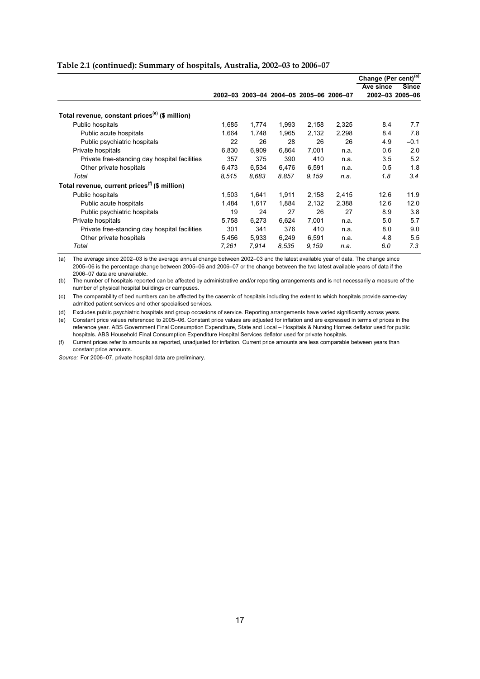|                                                            |       |       |                                         |       |       | Change (Per cent) <sup>(a)</sup> |                 |
|------------------------------------------------------------|-------|-------|-----------------------------------------|-------|-------|----------------------------------|-----------------|
|                                                            |       |       |                                         |       |       | Ave since                        | <b>Since</b>    |
|                                                            |       |       | 2002-03 2003-04 2004-05 2005-06 2006-07 |       |       |                                  | 2002-03 2005-06 |
| Total revenue, constant prices <sup>(e)</sup> (\$ million) |       |       |                                         |       |       |                                  |                 |
| Public hospitals                                           | 1,685 | 1,774 | 1,993                                   | 2,158 | 2,325 | 8.4                              | 7.7             |
| Public acute hospitals                                     | 1,664 | 1,748 | 1,965                                   | 2,132 | 2,298 | 8.4                              | 7.8             |
| Public psychiatric hospitals                               | 22    | 26    | 28                                      | 26    | 26    | 4.9                              | $-0.1$          |
| Private hospitals                                          | 6,830 | 6,909 | 6,864                                   | 7,001 | n.a.  | 0.6                              | 2.0             |
| Private free-standing day hospital facilities              | 357   | 375   | 390                                     | 410   | n.a.  | 3.5                              | 5.2             |
| Other private hospitals                                    | 6.473 | 6,534 | 6,476                                   | 6,591 | n.a.  | 0.5                              | 1.8             |
| Total                                                      | 8.515 | 8.683 | 8.857                                   | 9,159 | n.a.  | 1.8                              | 3.4             |
| Total revenue, current prices <sup>(f)</sup> (\$ million)  |       |       |                                         |       |       |                                  |                 |
| Public hospitals                                           | 1,503 | 1,641 | 1,911                                   | 2,158 | 2,415 | 12.6                             | 11.9            |
| Public acute hospitals                                     | 1.484 | 1,617 | 1,884                                   | 2,132 | 2,388 | 12.6                             | 12.0            |
| Public psychiatric hospitals                               | 19    | 24    | 27                                      | 26    | 27    | 8.9                              | 3.8             |
| Private hospitals                                          | 5,758 | 6,273 | 6,624                                   | 7,001 | n.a.  | 5.0                              | 5.7             |
| Private free-standing day hospital facilities              | 301   | 341   | 376                                     | 410   | n.a.  | 8.0                              | 9.0             |
| Other private hospitals                                    | 5,456 | 5,933 | 6,249                                   | 6,591 | n.a.  | 4.8                              | 5.5             |
| Total                                                      | 7,261 | 7,914 | 8.535                                   | 9,159 | n.a.  | 6.0                              | 7.3             |

#### **Table 2.1 (continued): Summary of hospitals, Australia, 2002–03 to 2006–07**

(a) The average since 2002–03 is the average annual change between 2002–03 and the latest available year of data. The change since 2005–06 is the percentage change between 2005–06 and 2006–07 or the change between the two latest available years of data if the 2006–07 data are unavailable.

(b) The number of hospitals reported can be affected by administrative and/or reporting arrangements and is not necessarily a measure of the number of physical hospital buildings or campuses.

(c) The comparability of bed numbers can be affected by the casemix of hospitals including the extent to which hospitals provide same-day admitted patient services and other specialised services.

(d) Excludes public psychiatric hospitals and group occasions of service. Reporting arrangements have varied significantly across years.

(e) Constant price values referenced to 2005–06. Constant price values are adjusted for inflation and are expressed in terms of prices in the reference year. ABS Government Final Consumption Expenditure, State and Local – Hospitals & Nursing Homes deflator used for public hospitals. ABS Household Final Consumption Expenditure Hospital Services deflator used for private hospitals.

(f) Current prices refer to amounts as reported, unadjusted for inflation. Current price amounts are less comparable between years than constant price amounts.

*Source:* For 2006–07, private hospital data are preliminary.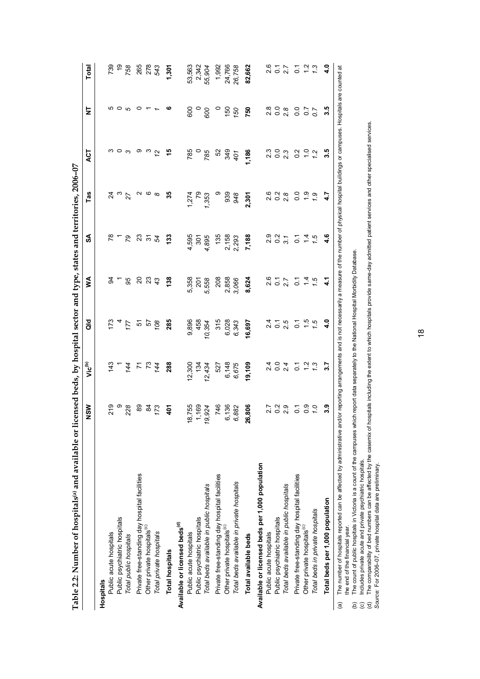| Table 2.2: Number of hospitals® and available or licensed beds, by hospital sector and type, states and territories, 2006-07 |                      |                             |                    |                             |                       |                          |                |                     |                             |
|------------------------------------------------------------------------------------------------------------------------------|----------------------|-----------------------------|--------------------|-----------------------------|-----------------------|--------------------------|----------------|---------------------|-----------------------------|
|                                                                                                                              | NSW                  | ر <sup>اق</sup> )           | ă                  | ≸                           | ઙ్                    | Tas                      | 4CT            | ż                   | Total                       |
| Hospitals                                                                                                                    |                      |                             |                    |                             |                       |                          |                |                     |                             |
| Public acute hospitals                                                                                                       |                      |                             |                    |                             |                       |                          |                |                     |                             |
| Public psychiatric hospitals                                                                                                 | 219<br>228           |                             |                    |                             | - 62                  | $3 \n~\degree$ $\approx$ | ოთო            |                     |                             |
| Total public hospitals                                                                                                       |                      | $rac{4}{3}$ $rac{4}{4}$     | $\frac{17}{4}$     |                             |                       |                          |                |                     | 89<br>09<br>27              |
| Private free-standing day hospital facilities                                                                                | 89                   | r n 44                      |                    | 22.2823                     |                       | N (0 00                  | တ              | 0                   |                             |
| Other private hospitals <sup>(c)</sup>                                                                                       |                      |                             | 8 y<br>2<br>9      |                             | 2354                  |                          |                |                     | 265<br>278<br>543           |
| Total private hospitals                                                                                                      | $\frac{2}{4}$        |                             |                    |                             |                       |                          | $\frac{3}{2}$  |                     |                             |
| <b>Total hospitals</b>                                                                                                       | $\frac{5}{4}$        | 288                         | 285                | 138                         | 133                   | స్                       |                |                     | 1,301                       |
| Available or licensed beds <sup>(d)</sup>                                                                                    |                      |                             |                    |                             |                       |                          |                |                     |                             |
| Public acute hospitals                                                                                                       | 8,755                | 12,300                      | 9,896              |                             |                       | 1,274                    | 785            | 600                 |                             |
| Public psychiatric hospitals                                                                                                 | 1,169<br>19,924      | 134                         | 458                | 5,358<br>201<br>5,558       | 4,595<br>301<br>4,895 |                          | $rac{92}{185}$ |                     |                             |
| Total beds available in public hospitals                                                                                     |                      | 12,434                      | 10,354             |                             |                       | 7,353                    |                | $\frac{1}{2}$       | 53,563<br>2,342<br>55,904   |
| Private free-standing day hospital facilities                                                                                | 746                  | 527                         | 315                | 208                         | 135                   | တ                        | 52             | $\circ$             | 1,992                       |
| Other private hospitals <sup>(c)</sup>                                                                                       | 6,136<br>6,882       | 6,148<br>6,675              |                    | 2,858<br>3,066              |                       | 939<br>948               |                |                     | 24,766<br>26,758            |
| Total beds available in private hospitals                                                                                    |                      |                             | 6,028<br>6,343     |                             | 2,158<br>2,293        |                          | 349<br>401     | 150                 |                             |
| Total available beds                                                                                                         | 16,806               | 19,109                      | 16,697             | 8,624                       | 7,188                 | 2,301                    | 1,186          | 750                 | 82,662                      |
| Available or licensed beds per 1,000 population                                                                              |                      |                             |                    |                             |                       |                          |                |                     |                             |
| Public acute hospitals                                                                                                       |                      |                             |                    |                             |                       |                          | 23             |                     |                             |
| Public psychiatric hospitals                                                                                                 | 27<br>28<br>28<br>28 |                             | 2.1<br>2.1<br>2.1  | 2.5<br>2.7<br>2.7           | 9<br>2021<br>20       | 6<br>0 0 0<br>0 0        | $0.9$<br>$2.3$ | 8<br>20<br>20<br>20 | 2<br>2 7 7<br>2 7 9         |
| Total beds available in public hospitals                                                                                     |                      | 2404                        |                    |                             |                       |                          |                |                     |                             |
| Private free-standing day hospital facilities                                                                                | $\overline{c}$       | $\overline{O}$              | $\overline{\circ}$ | $\overline{c}$              |                       | 0.0                      | $\frac{2}{3}$  | 0.0                 | $\overline{O}$              |
| Other private hospitals <sup>(c)</sup>                                                                                       | 0.9                  |                             | $\frac{15}{1.5}$   | $\frac{4}{4}$ $\frac{6}{4}$ | 5.46                  | 9.9                      | 7.2            | 0.7                 | $\frac{2}{1}$ $\frac{3}{1}$ |
| Total beds in private hospitals                                                                                              |                      | $\frac{2}{1}$ $\frac{3}{1}$ |                    |                             |                       |                          |                |                     |                             |
| Total beds per 1,000 population                                                                                              | 3.9                  | 3.7                         | $\frac{0}{4}$      | 41                          | 4.6                   | 4.7                      | 3.5            | 3.5                 | 4.0                         |
| (a) The pumper of hoepitals reported on he affected by administrative on                                                     | hr ranc              | nnamante                    | not noon           |                             | imhar of nhic         | hoenita                  |                | Hoenitale           | intad at                    |

(a) The number of hospitals reported can be affected by administrative and/or reporting arrangements and is not neossarily a measure of the number of physical hospital buildings or campuses. Hospitals are counted at<br>the mo The number of hospitals reported can be affected by administrative and/or reporting arrangements and is not necessarily a measure of the number of physical hospital buildings or campuses. Hospitals are counted at the end of the financial year.

(b) The count of public hospitals in Victoria is a count of the campuses which report data separately to the National Hospital Morbidity Database.

(c) Includes private acute and private psychiatric hospitals.

(d) The comparability of bed numbers can be affected by the casemix of hospitals including the extent to which hospitals provide same-day admitted patient services and other specialised services. *Source:* For 2006–07, private hospital data are preliminary.

| しくくく                                                                                                                                                                                                                                 |
|--------------------------------------------------------------------------------------------------------------------------------------------------------------------------------------------------------------------------------------|
|                                                                                                                                                                                                                                      |
|                                                                                                                                                                                                                                      |
|                                                                                                                                                                                                                                      |
|                                                                                                                                                                                                                                      |
|                                                                                                                                                                                                                                      |
|                                                                                                                                                                                                                                      |
| <b>Production of the Contract of the Contract of the Contract of the Contract of the Contract of the Contract of the Contract of the Contract of the Contract of the Contract of the Contract of the Contract of the Contract of</b> |
| $-1$                                                                                                                                                                                                                                 |
|                                                                                                                                                                                                                                      |
|                                                                                                                                                                                                                                      |
|                                                                                                                                                                                                                                      |
|                                                                                                                                                                                                                                      |
|                                                                                                                                                                                                                                      |
|                                                                                                                                                                                                                                      |
|                                                                                                                                                                                                                                      |
|                                                                                                                                                                                                                                      |
| j                                                                                                                                                                                                                                    |
|                                                                                                                                                                                                                                      |
| $\overline{\phantom{a}}$                                                                                                                                                                                                             |
|                                                                                                                                                                                                                                      |
|                                                                                                                                                                                                                                      |
|                                                                                                                                                                                                                                      |
|                                                                                                                                                                                                                                      |
|                                                                                                                                                                                                                                      |
| l                                                                                                                                                                                                                                    |
|                                                                                                                                                                                                                                      |
| י<br>ג                                                                                                                                                                                                                               |
|                                                                                                                                                                                                                                      |
|                                                                                                                                                                                                                                      |
|                                                                                                                                                                                                                                      |
| ֧֧֧֧֧֧֧֧֧֧֧֛֚֚֚֚֚֚֚֚֚֚֚֚֚֚֚֚֝֝֜֜֟֜֝֜֝֜֝֜֜֜֜֜֜                                                                                                                                                                                        |
|                                                                                                                                                                                                                                      |
|                                                                                                                                                                                                                                      |
|                                                                                                                                                                                                                                      |
|                                                                                                                                                                                                                                      |
|                                                                                                                                                                                                                                      |
|                                                                                                                                                                                                                                      |
|                                                                                                                                                                                                                                      |
|                                                                                                                                                                                                                                      |
|                                                                                                                                                                                                                                      |
|                                                                                                                                                                                                                                      |
|                                                                                                                                                                                                                                      |
|                                                                                                                                                                                                                                      |
|                                                                                                                                                                                                                                      |
|                                                                                                                                                                                                                                      |
|                                                                                                                                                                                                                                      |
|                                                                                                                                                                                                                                      |
| <b>OSpitals</b>                                                                                                                                                                                                                      |
| l                                                                                                                                                                                                                                    |
| į<br>١                                                                                                                                                                                                                               |
| ֕                                                                                                                                                                                                                                    |
|                                                                                                                                                                                                                                      |
| ׇ֚                                                                                                                                                                                                                                   |
|                                                                                                                                                                                                                                      |
| ֠                                                                                                                                                                                                                                    |
|                                                                                                                                                                                                                                      |
|                                                                                                                                                                                                                                      |
|                                                                                                                                                                                                                                      |
| l                                                                                                                                                                                                                                    |
| $\frac{a}{c}$<br>י                                                                                                                                                                                                                   |
|                                                                                                                                                                                                                                      |
| ׇ֖֘֝֕֕                                                                                                                                                                                                                               |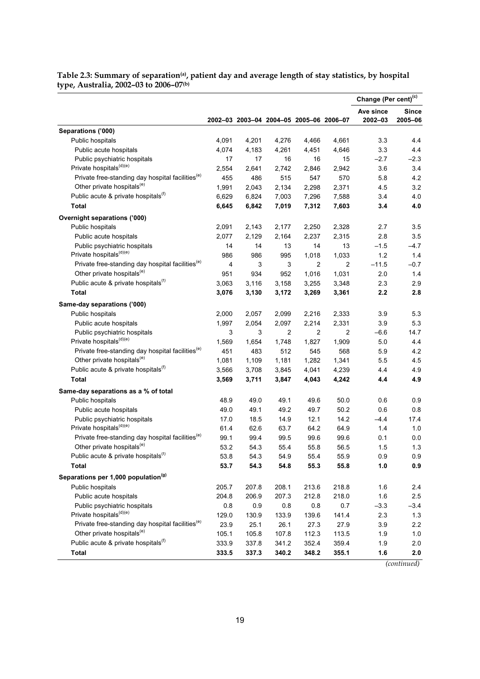|                                                              |                |       |                |                                         |                | Change (Per cent) <sup>(c)</sup> |         |
|--------------------------------------------------------------|----------------|-------|----------------|-----------------------------------------|----------------|----------------------------------|---------|
|                                                              |                |       |                |                                         |                | Ave since                        | Since   |
|                                                              |                |       |                | 2002-03 2003-04 2004-05 2005-06 2006-07 |                | 2002-03                          | 2005-06 |
| Separations ('000)                                           |                |       |                |                                         |                |                                  |         |
| Public hospitals                                             | 4,091          | 4,201 | 4,276          | 4,466                                   | 4,661          | 3.3                              | 4.4     |
| Public acute hospitals                                       | 4,074          | 4,183 | 4,261          | 4,451                                   | 4,646          | 3.3                              | 4.4     |
| Public psychiatric hospitals                                 | 17             | 17    | 16             | 16                                      | 15             | $-2.7$                           | $-2.3$  |
| Private hospitals <sup>(d)(e)</sup>                          | 2,554          | 2,641 | 2,742          | 2,846                                   | 2,942          | 3.6                              | 3.4     |
| Private free-standing day hospital facilities <sup>(e)</sup> | 455            | 486   | 515            | 547                                     | 570            | 5.8                              | 4.2     |
| Other private hospitals <sup>(e)</sup>                       | 1,991          | 2,043 | 2,134          | 2,298                                   | 2,371          | 4.5                              | 3.2     |
| Public acute & private hospitals <sup>(f)</sup>              | 6,629          | 6,824 | 7,003          | 7,296                                   | 7,588          | 3.4                              | 4.0     |
| <b>Total</b>                                                 | 6,645          | 6,842 | 7,019          | 7,312                                   | 7,603          | 3.4                              | 4.0     |
| <b>Overnight separations ('000)</b>                          |                |       |                |                                         |                |                                  |         |
| Public hospitals                                             | 2,091          | 2,143 | 2,177          | 2,250                                   | 2,328          | 2.7                              | 3.5     |
| Public acute hospitals                                       | 2,077          | 2,129 | 2,164          | 2,237                                   | 2,315          | 2.8                              | 3.5     |
| Public psychiatric hospitals                                 | 14             | 14    | 13             | 14                                      | 13             | $-1.5$                           | $-4.7$  |
| Private hospitals <sup>(d)(e)</sup>                          | 986            | 986   | 995            | 1,018                                   | 1,033          | 1.2                              | 1.4     |
| Private free-standing day hospital facilities <sup>(e)</sup> | $\overline{4}$ | 3     | 3              | $\overline{2}$                          | 2              | $-11.5$                          | $-0.7$  |
| Other private hospitals <sup>(e)</sup>                       | 951            | 934   | 952            | 1,016                                   | 1.031          | 2.0                              | 1.4     |
| Public acute & private hospitals <sup>(f)</sup>              | 3,063          | 3,116 | 3,158          | 3,255                                   | 3,348          | 2.3                              | 2.9     |
| <b>Total</b>                                                 | 3,076          | 3,130 | 3,172          | 3,269                                   | 3,361          | 2.2                              | 2.8     |
| Same-day separations ('000)                                  |                |       |                |                                         |                |                                  |         |
| Public hospitals                                             | 2,000          | 2,057 | 2,099          | 2,216                                   | 2,333          | 3.9                              | 5.3     |
| Public acute hospitals                                       | 1,997          | 2,054 | 2,097          | 2,214                                   | 2,331          | 3.9                              | 5.3     |
| Public psychiatric hospitals                                 | 3              | 3     | $\overline{2}$ | 2                                       | $\overline{2}$ | $-6.6$                           | 14.7    |
| Private hospitals <sup>(d)(e)</sup>                          | 1,569          | 1,654 | 1,748          | 1,827                                   | 1,909          | 5.0                              | 4.4     |
| Private free-standing day hospital facilities <sup>(e)</sup> | 451            | 483   | 512            | 545                                     | 568            | 5.9                              | 4.2     |
| Other private hospitals <sup>(e)</sup>                       | 1,081          | 1,109 | 1,181          | 1,282                                   | 1,341          | 5.5                              | 4.5     |
| Public acute & private hospitals <sup>(f)</sup>              | 3,566          | 3,708 | 3,845          | 4,041                                   | 4,239          | 4.4                              | 4.9     |
| <b>Total</b>                                                 | 3,569          | 3,711 | 3,847          | 4,043                                   | 4,242          | 4.4                              | 4.9     |
|                                                              |                |       |                |                                         |                |                                  |         |
| Same-day separations as a % of total                         |                |       |                |                                         |                |                                  |         |
| Public hospitals                                             | 48.9           | 49.0  | 49.1           | 49.6                                    | 50.0           | 0.6                              | 0.9     |
| Public acute hospitals                                       | 49.0           | 49.1  | 49.2           | 49.7                                    | 50.2           | 0.6                              | 0.8     |
| Public psychiatric hospitals                                 | 17.0           | 18.5  | 14.9           | 12.1                                    | 14.2           | $-4.4$                           | 17.4    |
| Private hospitals <sup>(d)(e)</sup>                          | 61.4           | 62.6  | 63.7           | 64.2                                    | 64.9           | 1.4                              | 1.0     |
| Private free-standing day hospital facilities <sup>(e)</sup> | 99.1           | 99.4  | 99.5           | 99.6                                    | 99.6           | 0.1                              | 0.0     |
| Other private hospitals <sup>(e)</sup>                       | 53.2           | 54.3  | 55.4           | 55.8                                    | 56.5           | 1.5                              | 1.3     |
| Public acute & private hospitals <sup>(f)</sup>              | 53.8           | 54.3  | 54.9           | 55.4                                    | 55.9           | 0.9                              | 0.9     |
| <b>Total</b>                                                 | 53.7           | 54.3  | 54.8           | 55.3                                    | 55.8           | 1.0                              | 0.9     |
| Separations per 1,000 population <sup>(g)</sup>              |                |       |                |                                         |                |                                  |         |
| Public hospitals                                             | 205.7          | 207.8 | 208.1          | 213.6                                   | 218.8          | 1.6                              | 2.4     |
| Public acute hospitals                                       | 204.8          | 206.9 | 207.3          | 212.8                                   | 218.0          | 1.6                              | 2.5     |
| Public psychiatric hospitals                                 | 0.8            | 0.9   | 0.8            | 0.8                                     | 0.7            | $-3.3$                           | $-3.4$  |
| Private hospitals <sup>(d)(e)</sup>                          | 129.0          | 130.9 | 133.9          | 139.6                                   | 141.4          | 2.3                              | 1.3     |
| Private free-standing day hospital facilities <sup>(e)</sup> | 23.9           | 25.1  | 26.1           | 27.3                                    | 27.9           | 3.9                              | 2.2     |
| Other private hospitals <sup>(e)</sup>                       | 105.1          | 105.8 | 107.8          | 112.3                                   | 113.5          | 1.9                              | 1.0     |
| Public acute & private hospitals <sup>(f)</sup>              | 333.9          | 337.8 | 341.2          | 352.4                                   | 359.4          | 1.9                              | 2.0     |
| <b>Total</b>                                                 | 333.5          | 337.3 | 340.2          | 348.2                                   | 355.1          | 1.6                              | 2.0     |

**Table 2.3: Summary of separation(a), patient day and average length of stay statistics, by hospital type, Australia, 2002–03 to 2006–07(b)**

*(continued)*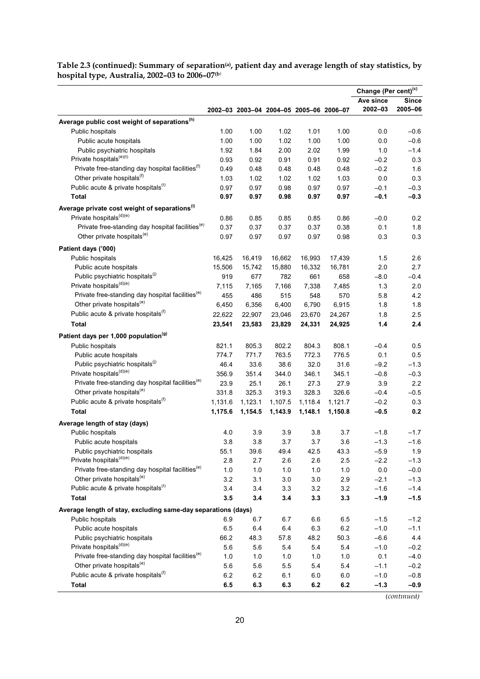**Table 2.3 (continued): Summary of separation(a), patient day and average length of stay statistics, by hospital type, Australia, 2002–03 to 2006–07(b**)

|                                                               |         |         |         |                                         |         | Change (Per cent) <sup>(c)</sup> |         |
|---------------------------------------------------------------|---------|---------|---------|-----------------------------------------|---------|----------------------------------|---------|
|                                                               |         |         |         |                                         |         | Ave since                        | Since   |
|                                                               |         |         |         | 2002-03 2003-04 2004-05 2005-06 2006-07 |         | 2002-03                          | 2005-06 |
| Average public cost weight of separations <sup>(h)</sup>      |         |         |         |                                         |         |                                  |         |
| Public hospitals                                              | 1.00    | 1.00    | 1.02    | 1.01                                    | 1.00    | 0.0                              | $-0.6$  |
| Public acute hospitals                                        | 1.00    | 1.00    | 1.02    | 1.00                                    | 1.00    | 0.0                              | $-0.6$  |
| Public psychiatric hospitals                                  | 1.92    | 1.84    | 2.00    | 2.02                                    | 1.99    | 1.0                              | $-1.4$  |
| Private hospitals <sup>(e)(f)</sup>                           | 0.93    | 0.92    | 0.91    | 0.91                                    | 0.92    | $-0.2$                           | 0.3     |
| Private free-standing day hospital facilities <sup>(1)</sup>  | 0.49    | 0.48    | 0.48    | 0.48                                    | 0.48    | $-0.2$                           | 1.6     |
| Other private hospitals <sup>(f)</sup>                        | 1.03    | 1.02    | 1.02    | 1.02                                    | 1.03    | 0.0                              | 0.3     |
| Public acute & private hospitals <sup>(f)</sup>               | 0.97    | 0.97    | 0.98    | 0.97                                    | 0.97    | $-0.1$                           | $-0.3$  |
| <b>Total</b>                                                  | 0.97    | 0.97    | 0.98    | 0.97                                    | 0.97    | $-0.1$                           | $-0.3$  |
| Average private cost weight of separations <sup>(i)</sup>     |         |         |         |                                         |         |                                  |         |
| Private hospitals <sup>(d)(e)</sup>                           | 0.86    | 0.85    | 0.85    | 0.85                                    | 0.86    | $-0.0$                           | 0.2     |
| Private free-standing day hospital facilities <sup>(e)</sup>  | 0.37    | 0.37    | 0.37    | 0.37                                    | 0.38    | 0.1                              | 1.8     |
| Other private hospitals <sup>(e)</sup>                        | 0.97    | 0.97    | 0.97    | 0.97                                    | 0.98    | 0.3                              | 0.3     |
| Patient days ('000)                                           |         |         |         |                                         |         |                                  |         |
| Public hospitals                                              | 16,425  | 16,419  | 16,662  | 16,993                                  | 17,439  | 1.5                              | 2.6     |
| Public acute hospitals                                        | 15,506  | 15,742  | 15,880  | 16,332                                  | 16,781  | 2.0                              | 2.7     |
| Public psychiatric hospitals <sup>(i)</sup>                   | 919     | 677     | 782     | 661                                     | 658     | $-8.0$                           | $-0.4$  |
| Private hospitals <sup>(d)(e)</sup>                           | 7,115   | 7,165   | 7,166   | 7,338                                   | 7,485   | 1.3                              | 2.0     |
| Private free-standing day hospital facilities <sup>(e)</sup>  | 455     | 486     | 515     | 548                                     | 570     | 5.8                              | 4.2     |
| Other private hospitals <sup>(e)</sup>                        | 6,450   | 6,356   | 6,400   | 6,790                                   | 6,915   | 1.8                              | 1.8     |
| Public acute & private hospitals <sup>(f)</sup>               | 22,622  | 22,907  | 23,046  | 23,670                                  | 24,267  | 1.8                              | 2.5     |
| Total                                                         | 23,541  | 23,583  | 23,829  | 24,331                                  | 24,925  | $1.4$                            | 2.4     |
|                                                               |         |         |         |                                         |         |                                  |         |
| Patient days per 1,000 population <sup>(g)</sup>              |         |         |         |                                         |         |                                  |         |
| Public hospitals                                              | 821.1   | 805.3   | 802.2   | 804.3                                   | 808.1   | $-0.4$                           | 0.5     |
| Public acute hospitals                                        | 774.7   | 771.7   | 763.5   | 772.3                                   | 776.5   | 0.1                              | 0.5     |
| Public psychiatric hospitals <sup>(i)</sup>                   | 46.4    | 33.6    | 38.6    | 32.0                                    | 31.6    | $-9.2$                           | $-1.3$  |
| Private hospitals <sup>(d)(e)</sup>                           | 356.9   | 351.4   | 344.0   | 346.1                                   | 345.1   | $-0.8$                           | $-0.3$  |
| Private free-standing day hospital facilities <sup>(e)</sup>  | 23.9    | 25.1    | 26.1    | 27.3                                    | 27.9    | 3.9                              | 2.2     |
| Other private hospitals <sup>(e)</sup>                        | 331.8   | 325.3   | 319.3   | 328.3                                   | 326.6   | $-0.4$                           | $-0.5$  |
| Public acute & private hospitals <sup>(f)</sup>               | 1,131.6 | 1,123.1 | 1,107.5 | 1,118.4                                 | 1,121.7 | $-0.2$                           | 0.3     |
| <b>Total</b>                                                  | 1,175.6 | 1,154.5 | 1,143.9 | 1,148.1                                 | 1,150.8 | $-0.5$                           | 0.2     |
| Average length of stay (days)                                 |         |         |         |                                         |         |                                  |         |
| Public hospitals                                              | 4.0     | 3.9     | 3.9     | 3.8                                     | 3.7     | $-1.8$                           | $-1.7$  |
| Public acute hospitals                                        | 3.8     | 3.8     | 3.7     | 3.7                                     | 3.6     | $-1.3$                           | $-1.6$  |
| Public psychiatric hospitals                                  | 55.1    | 39.6    | 49.4    | 42.5                                    | 43.3    | $-5.9$                           | 1.9     |
| Private hospitals <sup>(d)(e)</sup>                           | 2.8     | 2.7     | 2.6     | 2.6                                     | 2.5     | $-2.2$                           | $-1.3$  |
| Private free-standing day hospital facilities <sup>(e)</sup>  | 1.0     | 1.0     | 1.0     | 1.0                                     | 1.0     | $0.0\,$                          | $-0.0$  |
| Other private hospitals <sup>(e)</sup>                        | 3.2     | 3.1     | 3.0     | 3.0                                     | 2.9     | $-2.1$                           | $-1.3$  |
| Public acute & private hospitals <sup>(f)</sup>               | 3.4     | 3.4     | 3.3     | 3.2                                     | 3.2     | $-1.6$                           | $-1.4$  |
| <b>Total</b>                                                  | 3.5     | 3.4     | 3.4     | 3.3                                     | 3.3     | $-1.9$                           | $-1.5$  |
| Average length of stay, excluding same-day separations (days) |         |         |         |                                         |         |                                  |         |
| Public hospitals                                              | 6.9     | 6.7     | 6.7     | 6.6                                     | 6.5     | $-1.5$                           | $-1.2$  |
| Public acute hospitals                                        | 6.5     | 6.4     | 6.4     | 6.3                                     | 6.2     | $-1.0$                           | $-1.1$  |
| Public psychiatric hospitals                                  | 66.2    | 48.3    | 57.8    | 48.2                                    | 50.3    | $-6.6$                           | 4.4     |
| Private hospitals <sup>(d)(e)</sup>                           | 5.6     | 5.6     | 5.4     | 5.4                                     | 5.4     | $-1.0$                           | $-0.2$  |
| Private free-standing day hospital facilities <sup>(e)</sup>  | 1.0     | 1.0     | 1.0     | 1.0                                     | 1.0     | 0.1                              | $-4.0$  |
| Other private hospitals <sup>(e)</sup>                        | 5.6     | 5.6     | 5.5     | 5.4                                     | 5.4     | $-1.1$                           | $-0.2$  |
| Public acute & private hospitals <sup>(f)</sup>               | 6.2     | 6.2     | 6.1     | 6.0                                     | 6.0     | $-1.0$                           | $-0.8$  |
| <b>Total</b>                                                  | 6.5     | 6.3     | 6.3     | 6.2                                     | 6.2     | $-1.3$                           | $-0.9$  |

*(continued)*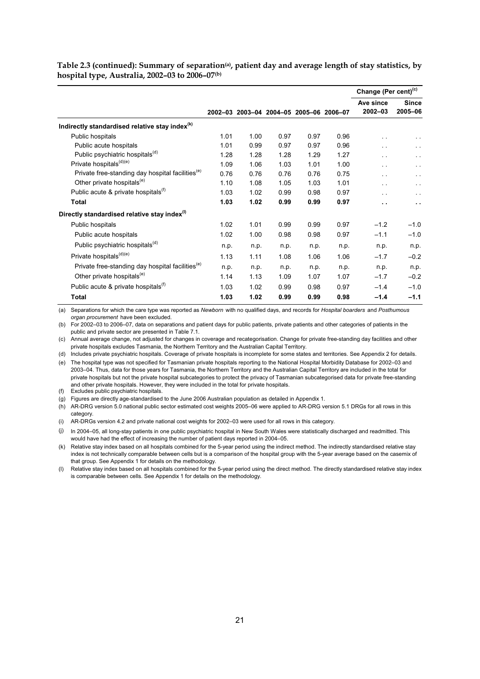|                                                              |      |      |      |                                         |      | Change (Per cent) <sup>(c)</sup> |                         |
|--------------------------------------------------------------|------|------|------|-----------------------------------------|------|----------------------------------|-------------------------|
|                                                              |      |      |      | 2002-03 2003-04 2004-05 2005-06 2006-07 |      | Ave since<br>2002-03             | <b>Since</b><br>2005-06 |
| Indirectly standardised relative stay index <sup>(k)</sup>   |      |      |      |                                         |      |                                  |                         |
| Public hospitals                                             | 1.01 | 1.00 | 0.97 | 0.97                                    | 0.96 |                                  |                         |
| Public acute hospitals                                       | 1.01 | 0.99 | 0.97 | 0.97                                    | 0.96 | . .                              | $\ddot{\phantom{0}}$    |
| Public psychiatric hospitals <sup>(a)</sup>                  | 1.28 | 1.28 | 1.28 | 1.29                                    | 1.27 | $\sim$ $\sim$                    | $\ddot{\phantom{0}}$    |
| Private hospitals <sup>(d)(e)</sup>                          | 1.09 | 1.06 | 1.03 | 1.01                                    | 1.00 | $\sim$                           | $\sim$ $\sim$           |
| Private free-standing day hospital facilities <sup>(e)</sup> | 0.76 | 0.76 | 0.76 | 0.76                                    | 0.75 | $\ddot{\phantom{0}}$             | $\ddot{\phantom{0}}$    |
| Other private hospitals <sup>(e)</sup>                       | 1.10 | 1.08 | 1.05 | 1.03                                    | 1.01 | $\cdot$ .                        | $\ddot{\phantom{0}}$    |
| Public acute & private hospitals <sup>(1)</sup>              | 1.03 | 1.02 | 0.99 | 0.98                                    | 0.97 | $\sim$                           | $\ddot{\phantom{0}}$    |
| <b>Total</b>                                                 | 1.03 | 1.02 | 0.99 | 0.99                                    | 0.97 | $\ddot{\phantom{1}}$             | $\sim$ $\sim$           |
| Directly standardised relative stay index <sup>(1)</sup>     |      |      |      |                                         |      |                                  |                         |
| Public hospitals                                             | 1.02 | 1.01 | 0.99 | 0.99                                    | 0.97 | $-1.2$                           | $-1.0$                  |
| Public acute hospitals                                       | 1.02 | 1.00 | 0.98 | 0.98                                    | 0.97 | $-1.1$                           | $-1.0$                  |
| Public psychiatric hospitals <sup>(d)</sup>                  | n.p. | n.p. | n.p. | n.p.                                    | n.p. | n.p.                             | n.p.                    |
| Private hospitals <sup>(d)(e)</sup>                          | 1.13 | 1.11 | 1.08 | 1.06                                    | 1.06 | $-1.7$                           | $-0.2$                  |
| Private free-standing day hospital facilities <sup>(e)</sup> | n.p. | n.p. | n.p. | n.p.                                    | n.p. | n.p.                             | n.p.                    |
| Other private hospitals <sup>(e)</sup>                       | 1.14 | 1.13 | 1.09 | 1.07                                    | 1.07 | $-1.7$                           | $-0.2$                  |
| Public acute & private hospitals <sup>(t)</sup>              | 1.03 | 1.02 | 0.99 | 0.98                                    | 0.97 | $-1.4$                           | $-1.0$                  |
| <b>Total</b>                                                 | 1.03 | 1.02 | 0.99 | 0.99                                    | 0.98 | $-1.4$                           | $-1.1$                  |

Table 2.3 (continued): Summary of separation<sup>(a)</sup>, patient day and average length of stay statistics, by **hospital type, Australia, 2002–03 to 2006–07(b)**

(a) Separations for which the care type was reported as *Newborn* with no qualified days, and records for *Hospital boarders* and *Posthumous organ procurement* have been excluded.

(b) For 2002–03 to 2006–07, data on separations and patient days for public patients, private patients and other categories of patients in the public and private sector are presented in Table 7.1.

(c) Annual average change, not adjusted for changes in coverage and recategorisation. Change for private free-standing day facilities and other private hospitals excludes Tasmania, the Northern Territory and the Australian Capital Territory.

(d) Includes private psychiatric hospitals. Coverage of private hospitals is incomplete for some states and territories. See Appendix 2 for details.

(e) The hospital type was not specified for Tasmanian private hospitals reporting to the National Hospital Morbidity Database for 2002–03 and 2003–04. Thus, data for those years for Tasmania, the Northern Territory and the Australian Capital Territory are included in the total for private hospitals but not the private hospital subcategories to protect the privacy of Tasmanian subcategorised data for private free-standing and other private hospitals. However, they were included in the total for private hospitals.

(f) Excludes public psychiatric hospitals.

(g) Figures are directly age-standardised to the June 2006 Australian population as detailed in Appendix 1.

(h) AR-DRG version 5.0 national public sector estimated cost weights 2005–06 were applied to AR-DRG version 5.1 DRGs for all rows in this category.

(i) AR-DRGs version 4.2 and private national cost weights for 2002–03 were used for all rows in this category.

(j) In 2004–05, all long-stay patients in one public psychiatric hospital in New South Wales were statistically discharged and readmitted. This would have had the effect of increasing the number of patient days reported in 2004–05.

(k) Relative stay index based on all hospitals combined for the 5-year period using the indirect method. The indirectly standardised relative stay index is not technically comparable between cells but is a comparison of the hospital group with the 5-year average based on the casemix of that group. See Appendix 1 for details on the methodology.

(l) Relative stay index based on all hospitals combined for the 5-year period using the direct method. The directly standardised relative stay index is comparable between cells. See Appendix 1 for details on the methodology.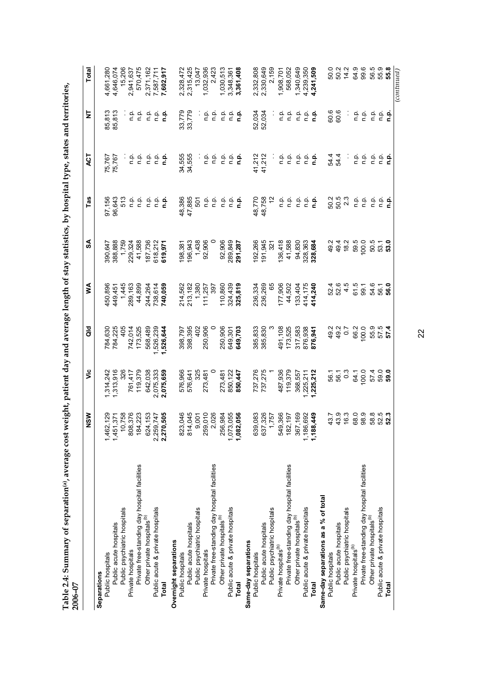| 2006-07                                       |                                           |               |            |         |                   |             |                       |                         |                        |
|-----------------------------------------------|-------------------------------------------|---------------|------------|---------|-------------------|-------------|-----------------------|-------------------------|------------------------|
|                                               | NSW                                       | ەنلا          | <b>aio</b> | ⋚       | SA                | Tas         | <b>LO</b>             | 보                       | Total                  |
| Separations                                   |                                           |               |            |         |                   |             |                       |                         |                        |
| Public hospitals                              | 1,462,129                                 | ,314,242      | 784,630    | 450,896 | 390,647           | 97,156      | 75,767                | 85,813                  | 4,661,280              |
| Public acute hospitals                        | 1,451,371                                 | ,313,916      | 784,225    | 449,451 | 388,888           | 96,643      | 75,767                | 85,813                  | 4,646,074              |
| Public psychiatric hospitals                  | 10,758                                    | 326           | 405        | 1,445   | 1,759             | 513         |                       |                         | 15,206                 |
| Private hospitals                             | 808,376                                   | 761,417       | 742,014    | 289,163 | 229,324           |             | نه :<br>ء             | $\frac{a}{c}$           | 2,941,637              |
| Private free-standing day hospital facilities | 184,223                                   | 119,379       | 173,525    | 44,899  | 41,588            | ن في<br>د د | ρ.<br>Γ               | ρ.<br>Π                 | 570,475                |
| Other private hospitals <sup>(b)</sup>        | 624,153                                   | 642,038       | 568,489    | 244,264 | 187,736           | n p.        |                       | n.p.                    | 2,371,162              |
| Public acute & private hospitals              | 2,259,747                                 | 2,075,333     | ,526,239   | 738,614 | 618,212           | ف<br>P      | ن في<br>مار           | غ                       | 7,587,711              |
| Total                                         | 2,270,505                                 | 2,075,659     | 1,526,644  | 740,059 | 619,971           | <u>م</u> .  | n.p.                  | <u>م</u>                | 7,602,917              |
| Overnight separations                         |                                           |               |            |         |                   |             |                       |                         |                        |
| Public hospitals                              | 823,046                                   | 576,966       | 398,797    | 214,562 | 198,381           | 48,386      | 34,555                | 33,779                  |                        |
| Public acute hospitals                        | 814,045                                   | 576,641       | 398,395    | 213,182 | 196,943           | 47,885      | 34,555                | 33,779                  | 2,328,472<br>2,315,425 |
| Public psychiatric hospitals                  |                                           | 325           | 402        | 1,380   | 1,438             | 501         |                       | $\epsilon$              | 13,047                 |
| Private hospitals                             | 9,001<br>259,010                          | 273,481       | 250,906    | 111,257 | 92,906            | n p.        | n p.                  | ρ.<br>Π                 | 1,032,936              |
| Private free-standing day hospital facilities | 2,026                                     | 0             | 0          | 397     |                   | q.          | نې<br>D               | ف<br>p                  | 2,423                  |
| Other private hospitals <sup>(b)</sup>        | 256,984                                   | 273,481       | 250,906    | 110,860 | 92,906            | n.p.        | n.p.                  | n.p.                    | 1,030,513              |
| Public acute & private hospitals              | 1,073,055                                 | 850,122       | 649,301    | 324,439 | 289,849           | n.p.        | n.p.                  | n.p.                    | 3,348,361              |
| Total                                         | 1,082,056                                 | 850,447       | 649,703    | 325,819 | 291,287           | <u>م</u> .  | ءِ<br>ت               | <u>م</u>                | 3,361,408              |
| Same-day separations                          |                                           |               |            |         |                   |             |                       |                         |                        |
| Public hospitals                              | 639,083                                   | 737,276       | 385,833    | 236,334 | 192,266           | 48,770      | 41,212                | 52,034                  | 2,332,808              |
| Public acute hospitals                        | 637,326                                   | 737,275       | 385,830    | 236,269 | 191,945           | 48,758      | 41,212                | 52,034                  | 2,330,649              |
| Public psychiatric hospitals                  | 1,757                                     |               |            | 65      | $\overline{32}$ 1 | 12          |                       |                         | 2,159                  |
| Private hospitals <sup>(b)</sup>              | 549,366                                   | 487,936       | 491,108    | 177,906 | 136,418           | ρ.<br>Π     | ف<br>p                | n p.                    | 1,908,701              |
| Private free-standing day hospital facilities | 182,197                                   | 119,379       | 173,525    | 44,502  | 41,588            | n.p.        | $\frac{\alpha}{\Box}$ | $\frac{\alpha}{\Box}$   | 568,052                |
| Other private hospitals <sup>(b)</sup>        | 367,169                                   | 368,557       | 317,583    | 133,404 | 94,830            | n.p.        | n.p.                  | n p.                    | 1,340,649              |
| Public acute & private hospitals              | 1,186,692                                 | 1,225,211     | 876,938    | 414,175 | 328,363           | ن<br>ء      | ρ.<br>Π               | $\frac{\alpha}{\alpha}$ | 4,239,350              |
| Total                                         | 1,188,449                                 | 1,225,212     | 876,941    | 114,240 | 328,684           | <u>م</u>    | n.p.                  | م<br>a                  | 4,241,509              |
| Same-day separations as a % of total          |                                           |               |            |         |                   |             |                       |                         |                        |
| Public hospitals                              | 43.7<br>43.9                              | 56.1          | 49.2       | 52.4    | 49.2              | 50.2        | 54.4                  | 60.6                    | 50.0                   |
| Public acute hospitals                        |                                           | 56.1          | 49.2       | 52.6    | 49.4              | 50.5        | 54.4                  | 60.6                    | 50.2                   |
| Public psychiatric hospitals                  | 6.3                                       | $\frac{3}{2}$ | 0.7        | 4.5     | 18.2              | 2.3         | ÷,                    | ÷,                      | 14.2                   |
| Private hospitals <sup>(b)</sup>              | 68.0                                      | 64.1          | 66.2       | 61.5    | 59.5              | n.p.        | o.<br>C               | o.<br>C                 | 64.9                   |
| Private free-standing day hospital facilities | 98.9                                      | 100.0         | 100.0      | 99.1    | 100.0             | n p.        | ρ.<br>Γ               | ρ.<br>Γ                 | 99.6                   |
| Other private hospitals <sup>(b)</sup>        |                                           | 57.4          | 55.9       | 54.6    | 50.5              | n.p.        | n p.                  | ρ.<br>Γ                 |                        |
| Public acute & private hospitals              | ននី<br>នី នី <b>នី នី</b><br><b>នី នី</b> | 59.0          | 57.5       | 56.1    | 53.1              |             |                       |                         | 56.9<br>55.9<br>55.9   |
| <b>Total</b>                                  |                                           | 59.0          | 57.4       | 56.0    | 53.0              | ن في<br>عام | ءِ ۽<br>ذ             | ءِ ۾<br>د               |                        |
|                                               |                                           |               |            |         |                   |             |                       |                         | (continued)            |

Table 2.4: Summary of separation(a), average cost weight, patient day and average length of stay statistics, by hospital type, states and territories,<br>2006–07 **Table 2.4: Summary of separation(a), average cost weight, patient day and average length of stay statistics, by hospital type, states and territories,**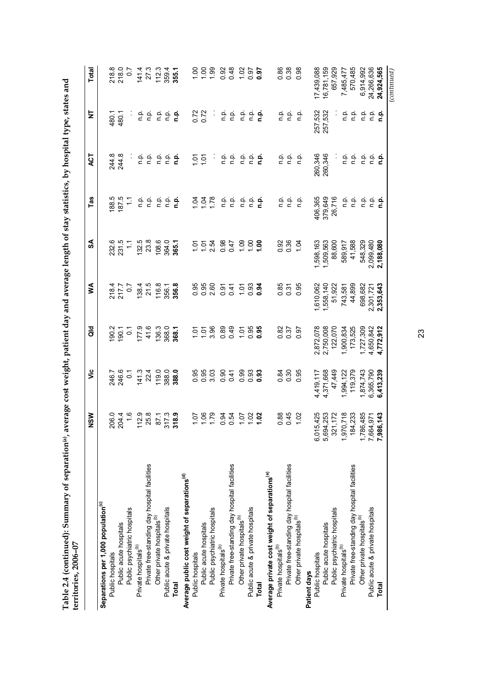| verage cost weight, patient day and average length of stay statistics, by hospital type, states and |  |
|-----------------------------------------------------------------------------------------------------|--|
|                                                                                                     |  |
|                                                                                                     |  |
|                                                                                                     |  |
|                                                                                                     |  |
|                                                                                                     |  |
|                                                                                                     |  |
|                                                                                                     |  |
|                                                                                                     |  |
|                                                                                                     |  |
|                                                                                                     |  |
|                                                                                                     |  |
|                                                                                                     |  |
|                                                                                                     |  |
|                                                                                                     |  |
|                                                                                                     |  |
|                                                                                                     |  |
|                                                                                                     |  |
|                                                                                                     |  |
| ू<br>न                                                                                              |  |
|                                                                                                     |  |
|                                                                                                     |  |
|                                                                                                     |  |
|                                                                                                     |  |
|                                                                                                     |  |
|                                                                                                     |  |
|                                                                                                     |  |
|                                                                                                     |  |
|                                                                                                     |  |
|                                                                                                     |  |

|                                                           | $\frac{8}{2}$  | $\ddot{\bar{z}}$ | <b>Jo</b>      | ≸              | SA               | $\overline{\text{I}}$ as | <b>LO</b> | ₹                     | Total             |
|-----------------------------------------------------------|----------------|------------------|----------------|----------------|------------------|--------------------------|-----------|-----------------------|-------------------|
| Separations per 1,000 population <sup>(c)</sup>           |                |                  |                |                |                  |                          |           |                       |                   |
| Public hospitals                                          | 206.0          | 246.7            | 190.2          | 218.4          | 232.6            | 188.5                    | 244.8     | 480.1                 | 218.8             |
| Public acute hospitals                                    |                | 246.6            | 190.1          | 217.7          | 231.5            | 187.5                    | 244.8     | 480.1                 | 218.0             |
| Public psychiatric hospitals                              | 204.4<br>1.6   | $\overline{0}$ . | $\overline{0}$ | $\frac{2}{3}$  | $\frac{1}{2}$    | $\tilde{=}$              |           |                       | $\overline{0.7}$  |
| Private hospitals <sup>(b)</sup>                          | 112.9          | 141.3            | 177.9          | 138.4          | 132.5            | م<br>¤                   | ن<br>E    | نه<br>ء               | 141.4             |
| Private free-standing day hospital facilities             | 25.8           | 22.4             | 41.6           | 21.5           | 23.8             | م<br>ء                   | n.p.      | n.p.                  | 27.3              |
| Other private hospitals <sup>(b)</sup>                    | 87.1           | 119.0            | 136.3          | 116.8          | 108.6            | n.p.                     | n.p.      | n.p.                  | 112.3             |
| Public acute & private hospitals                          | 317.3          |                  | 368.0          |                | 364.0            | n.p.                     | ن<br>ء    | n.p.                  | 359.4             |
| <b>Total</b>                                              | 318.9          | 388.0<br>388.0   | 368.1          | 356.1<br>356.8 | 365.1            | n.p                      | n.p.      | ءِ<br>ء               | 355.1             |
| Average public cost weight of separations <sup>(d)</sup>  |                |                  |                |                |                  |                          |           |                       |                   |
| Public hospitals                                          | 10.1           | 0.95             | 1.01           |                | 101              | 1.04                     | 1.01      | 0.72                  | $\frac{0}{1}$     |
| Public acute hospitals                                    |                | 0.95             | 1.01           | 0.95<br>0.95   |                  | 1.04                     | 1.01      | 0.72                  | $\frac{8}{1}$     |
| Public psychiatric hospitals                              | 1.79           | 3.03             | 3.96           | 2.60           | $\frac{1}{2}$ 22 | 1.78                     |           | Ĩ,                    | 1.99              |
| Private hospitals <sup>(b)</sup>                          | 0.94           | 0.90             | 0.89           | 0.97           | 0.98             | n.p.                     | ن<br>ء    | ن<br>ء                | 0.92              |
| Private free-standing day hospital facilities             | 0.54           | 0.41             | 0.49           | 0.41           | 0.47             | n.p.                     | n.p.      | n.p.                  | 0.48              |
| Other private hospitals <sup>(b)</sup>                    | 1.07           | 0.99             | 1.01           | 1.01           |                  | n p.                     | ن<br>ء    | ن<br>ء                |                   |
| Public acute & private hospitals                          | 1.02           | 0.93             | 0.95           | 0.93           | 888              | ن<br>ء                   | ن<br>ء    | n p.                  | $\frac{28}{1.97}$ |
| <b>Total</b>                                              | 1.02           | 0.93             | 0.95           | 0.94           |                  | n.p                      | ءِ<br>¤   | م<br>a                | 0.97              |
| Average private cost weight of separations <sup>(e)</sup> |                |                  |                |                |                  |                          |           |                       |                   |
| Private hospitals <sup>(b)</sup>                          | 0.88           | 0.84             | 0.82           | 0.85           | 0.92             | ρ.<br>Π                  | ن<br>ء    | م.<br>=               | 0.86              |
| Private free-standing day hospital facilities             | 0.45           | 0.30             | 0.37           | 0.31           | 0.36             | ن<br>ء                   | n p.      | $\frac{\alpha}{\Box}$ | 0.38              |
| Other private hospitals <sup>(b)</sup>                    | 1.02           | 0.95             | 0.97           | 0.95           | 104              | نه<br>a                  | n.p.      | غ                     | 0.98              |
| Patient days                                              |                |                  |                |                |                  |                          |           |                       |                   |
| Public hospitals                                          | 425<br>6,015,  | 4,419,117        | 2,872,078      | 1,610,062      | 1,598,163        | 406,365                  | 260,346   | 257,532               | 17,439,088        |
| Public acute hospitals                                    | ,253<br>5,694, | 4,371,668        | 2,750,008      | 1,558,140      | 1,509,563        | 379,649                  | 260,346   | 257,532               | 16,781,159        |
| Public psychiatric hospitals                              | 172<br>321,    | 47,449           | 122,070        | 51,922         | 88,600           | 26,716                   |           |                       | 657,929           |
| Private hospitals <sup>(b)</sup>                          | 718<br>1,970,  | 1,994,122        | 1,900,834      | 743,581        | 589,917          | ρ.<br>Γ                  |           | ρ.<br>Γ               | 7,485,477         |
| Private free-standing day hospital facilities             | 233<br>184,    | 119,379          | 173,525        | 44,899         | 41,588           | n p.                     | 을 흐       | o.<br>C               | 570,485           |
| Other private hospitals <sup>(b)</sup>                    | 485<br>1,786,  | 1,874,743        | 1,727,309      | 698,682        | 548,329          | ن<br>ء                   | ن<br>ء    | ن<br>ء                | 6,914,992         |
| Public acute & private hospitals                          | 971<br>7,664,  | 6,365,790        | 4,650,842      | 2,301,721      | 2,099,480        | ن<br>ء                   | م<br>a    | ن<br>ء                | 24,266,636        |
| Total                                                     | 7,986,143      | 6,413,239        | 4,772,912      | 2,353,643      | 2,188,080        | غ                        | n.p       | غ<br>a                | 24,924,565        |
|                                                           |                |                  |                |                |                  |                          |           |                       | (continued)       |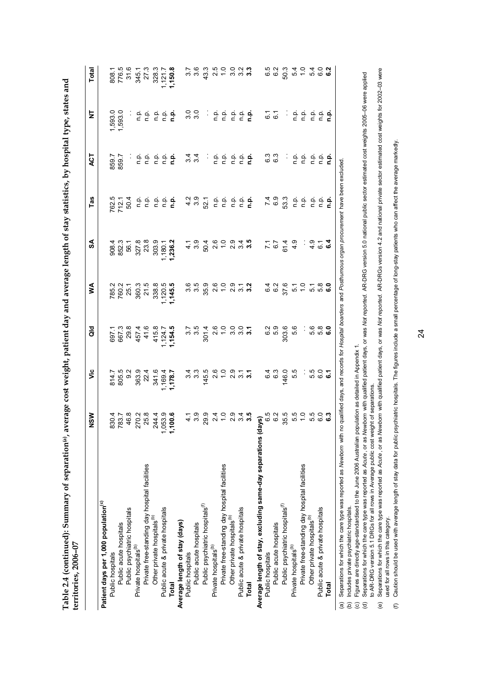| verage cost weight, patient day and average length of stay statistics, by hospital type, states and |  |
|-----------------------------------------------------------------------------------------------------|--|
|                                                                                                     |  |
|                                                                                                     |  |
|                                                                                                     |  |
|                                                                                                     |  |
|                                                                                                     |  |
|                                                                                                     |  |
|                                                                                                     |  |
| ׇ֧֚֬֬                                                                                               |  |
|                                                                                                     |  |
|                                                                                                     |  |
|                                                                                                     |  |
|                                                                                                     |  |
|                                                                                                     |  |
|                                                                                                     |  |
|                                                                                                     |  |
|                                                                                                     |  |
|                                                                                                     |  |
|                                                                                                     |  |
|                                                                                                     |  |
|                                                                                                     |  |
|                                                                                                     |  |

| $\frac{1}{2}$<br>6.3<br>6.3<br>859.7<br>859.7<br>e e.<br>c<br>$\frac{1}{2}$<br>ن في<br>ما<br>흐 흐<br>ㄷ ㄷ<br>ن<br>ء<br>$\frac{1}{2}$ $\frac{1}{2}$<br><b>ے جے</b><br>جے جے<br>$78.77$<br>$78.77$<br>$78.77$<br>$78.77$<br>$78.77$<br>$78.77$<br>$78.77$<br>$78.77$<br>$78.77$<br>$78.77$<br>$799$<br>$693$<br>$\frac{1}{2}$ $\frac{1}{2}$ $\frac{1}{2}$ $\frac{1}{2}$ $\frac{1}{2}$ $\frac{1}{2}$ $\frac{1}{2}$<br>$\begin{array}{ccc}\n0 & 0 \\ 0 & 1\n\end{array}$<br>ှင်<br>မြို့ကို မြို့<br>$7.749$<br>$-7.49$<br>$-7.49$<br>ת של הסטר <b>הטייה</b><br>בסת הסטר ה <b>ש</b><br>$4.09$<br>$4.09$<br>$180.1$<br>$236.2$<br>$\frac{1}{2}$<br>ဝေ ပေ တ<br>ကက် ပ္က<br>$00072$<br>$0.7007$<br>8<br>8<br>8<br>8<br>8<br>8<br>8<br>$70 - 0$<br>$70 - 0$<br>5.6<br>0.0<br>0.0<br>0.0<br>0.0<br>5.5<br>6.3<br>6.3<br>146.0<br>5<br>6<br>6<br>6<br>6<br>6<br>814.1<br>805.9.3.4.4.6<br>806.9.4.4.6.4.1<br>8.7.9.4.4.6.4.1<br>8.7.128.7<br><b>ays</b><br>6.0 2 5<br>35.5<br>830.4<br>783.3<br>783.4<br>83.3<br>830.4<br>7,000.6<br>7,100.6<br>5.0<br>5.1<br>စ်<br>၁၀၀၀<br>၁၉<br>Average length of stay, excluding same-day separations (da<br>Private free-standing day hospital facilities<br>Private free-standing day hospital facilities<br>Private free-standing day hospital facilities<br>Patient days per 1,000 population <sup>(c)</sup><br>Public psychiatric hospitals <sup>(f)</sup><br>Public psychiatric hospitals <sup>(f)</sup><br>Public acute & private hospitals<br>Public acute & private hospitals<br>Public psychiatric hospitals<br>Other private hospitals <sup>(b)</sup><br>Other private hospitals <sup>(D)</sup><br>Other private hospitals <sup>(b)</sup><br>Average length of stay (days)<br>Public acute hospitals<br>Public acute hospitals<br>Public acute hospitals<br>Private hospitals <sup>(b)</sup><br>Private hospitals <sup>(b)</sup><br>Private hospitals <sup>(b)</sup><br>Public hospitals<br>Public hospitals<br>Public hospitals<br>Total<br>Total |                                  | NSM | νiς | ă | ⋚ | ઙ્ર | Tas | ξ | ₫                                                                                    | Total                                               |
|-------------------------------------------------------------------------------------------------------------------------------------------------------------------------------------------------------------------------------------------------------------------------------------------------------------------------------------------------------------------------------------------------------------------------------------------------------------------------------------------------------------------------------------------------------------------------------------------------------------------------------------------------------------------------------------------------------------------------------------------------------------------------------------------------------------------------------------------------------------------------------------------------------------------------------------------------------------------------------------------------------------------------------------------------------------------------------------------------------------------------------------------------------------------------------------------------------------------------------------------------------------------------------------------------------------------------------------------------------------------------------------------------------------------------------------------------------------------------------------------------------------------------------------------------------------------------------------------------------------------------------------------------------------------------------------------------------------------------------------------------------------------------------------------------------------------------------------------------------------------------------------------------------------------------------------------------------------------------------------|----------------------------------|-----|-----|---|---|-----|-----|---|--------------------------------------------------------------------------------------|-----------------------------------------------------|
|                                                                                                                                                                                                                                                                                                                                                                                                                                                                                                                                                                                                                                                                                                                                                                                                                                                                                                                                                                                                                                                                                                                                                                                                                                                                                                                                                                                                                                                                                                                                                                                                                                                                                                                                                                                                                                                                                                                                                                                     |                                  |     |     |   |   |     |     |   |                                                                                      |                                                     |
|                                                                                                                                                                                                                                                                                                                                                                                                                                                                                                                                                                                                                                                                                                                                                                                                                                                                                                                                                                                                                                                                                                                                                                                                                                                                                                                                                                                                                                                                                                                                                                                                                                                                                                                                                                                                                                                                                                                                                                                     |                                  |     |     |   |   |     |     |   |                                                                                      |                                                     |
|                                                                                                                                                                                                                                                                                                                                                                                                                                                                                                                                                                                                                                                                                                                                                                                                                                                                                                                                                                                                                                                                                                                                                                                                                                                                                                                                                                                                                                                                                                                                                                                                                                                                                                                                                                                                                                                                                                                                                                                     |                                  |     |     |   |   |     |     |   | 1,593.0<br>1,593.0                                                                   |                                                     |
|                                                                                                                                                                                                                                                                                                                                                                                                                                                                                                                                                                                                                                                                                                                                                                                                                                                                                                                                                                                                                                                                                                                                                                                                                                                                                                                                                                                                                                                                                                                                                                                                                                                                                                                                                                                                                                                                                                                                                                                     |                                  |     |     |   |   |     |     |   |                                                                                      |                                                     |
|                                                                                                                                                                                                                                                                                                                                                                                                                                                                                                                                                                                                                                                                                                                                                                                                                                                                                                                                                                                                                                                                                                                                                                                                                                                                                                                                                                                                                                                                                                                                                                                                                                                                                                                                                                                                                                                                                                                                                                                     |                                  |     |     |   |   |     |     |   |                                                                                      | 808.1<br>776.5<br>7345.1<br>345.1<br>328.7<br>150.8 |
|                                                                                                                                                                                                                                                                                                                                                                                                                                                                                                                                                                                                                                                                                                                                                                                                                                                                                                                                                                                                                                                                                                                                                                                                                                                                                                                                                                                                                                                                                                                                                                                                                                                                                                                                                                                                                                                                                                                                                                                     |                                  |     |     |   |   |     |     |   |                                                                                      |                                                     |
|                                                                                                                                                                                                                                                                                                                                                                                                                                                                                                                                                                                                                                                                                                                                                                                                                                                                                                                                                                                                                                                                                                                                                                                                                                                                                                                                                                                                                                                                                                                                                                                                                                                                                                                                                                                                                                                                                                                                                                                     |                                  |     |     |   |   |     |     |   |                                                                                      |                                                     |
|                                                                                                                                                                                                                                                                                                                                                                                                                                                                                                                                                                                                                                                                                                                                                                                                                                                                                                                                                                                                                                                                                                                                                                                                                                                                                                                                                                                                                                                                                                                                                                                                                                                                                                                                                                                                                                                                                                                                                                                     |                                  |     |     |   |   |     |     |   |                                                                                      |                                                     |
|                                                                                                                                                                                                                                                                                                                                                                                                                                                                                                                                                                                                                                                                                                                                                                                                                                                                                                                                                                                                                                                                                                                                                                                                                                                                                                                                                                                                                                                                                                                                                                                                                                                                                                                                                                                                                                                                                                                                                                                     |                                  |     |     |   |   |     |     |   |                                                                                      |                                                     |
|                                                                                                                                                                                                                                                                                                                                                                                                                                                                                                                                                                                                                                                                                                                                                                                                                                                                                                                                                                                                                                                                                                                                                                                                                                                                                                                                                                                                                                                                                                                                                                                                                                                                                                                                                                                                                                                                                                                                                                                     |                                  |     |     |   |   |     |     |   |                                                                                      |                                                     |
|                                                                                                                                                                                                                                                                                                                                                                                                                                                                                                                                                                                                                                                                                                                                                                                                                                                                                                                                                                                                                                                                                                                                                                                                                                                                                                                                                                                                                                                                                                                                                                                                                                                                                                                                                                                                                                                                                                                                                                                     |                                  |     |     |   |   |     |     |   |                                                                                      |                                                     |
|                                                                                                                                                                                                                                                                                                                                                                                                                                                                                                                                                                                                                                                                                                                                                                                                                                                                                                                                                                                                                                                                                                                                                                                                                                                                                                                                                                                                                                                                                                                                                                                                                                                                                                                                                                                                                                                                                                                                                                                     |                                  |     |     |   |   |     |     |   |                                                                                      | $3.7$<br>$3.6$                                      |
|                                                                                                                                                                                                                                                                                                                                                                                                                                                                                                                                                                                                                                                                                                                                                                                                                                                                                                                                                                                                                                                                                                                                                                                                                                                                                                                                                                                                                                                                                                                                                                                                                                                                                                                                                                                                                                                                                                                                                                                     |                                  |     |     |   |   |     |     |   |                                                                                      | 43.3                                                |
|                                                                                                                                                                                                                                                                                                                                                                                                                                                                                                                                                                                                                                                                                                                                                                                                                                                                                                                                                                                                                                                                                                                                                                                                                                                                                                                                                                                                                                                                                                                                                                                                                                                                                                                                                                                                                                                                                                                                                                                     |                                  |     |     |   |   |     |     |   |                                                                                      |                                                     |
|                                                                                                                                                                                                                                                                                                                                                                                                                                                                                                                                                                                                                                                                                                                                                                                                                                                                                                                                                                                                                                                                                                                                                                                                                                                                                                                                                                                                                                                                                                                                                                                                                                                                                                                                                                                                                                                                                                                                                                                     |                                  |     |     |   |   |     |     |   |                                                                                      |                                                     |
|                                                                                                                                                                                                                                                                                                                                                                                                                                                                                                                                                                                                                                                                                                                                                                                                                                                                                                                                                                                                                                                                                                                                                                                                                                                                                                                                                                                                                                                                                                                                                                                                                                                                                                                                                                                                                                                                                                                                                                                     |                                  |     |     |   |   |     |     |   |                                                                                      |                                                     |
|                                                                                                                                                                                                                                                                                                                                                                                                                                                                                                                                                                                                                                                                                                                                                                                                                                                                                                                                                                                                                                                                                                                                                                                                                                                                                                                                                                                                                                                                                                                                                                                                                                                                                                                                                                                                                                                                                                                                                                                     |                                  |     |     |   |   |     |     |   |                                                                                      |                                                     |
|                                                                                                                                                                                                                                                                                                                                                                                                                                                                                                                                                                                                                                                                                                                                                                                                                                                                                                                                                                                                                                                                                                                                                                                                                                                                                                                                                                                                                                                                                                                                                                                                                                                                                                                                                                                                                                                                                                                                                                                     |                                  |     |     |   |   |     |     |   | ag i a a a a <b>a</b><br>Sa i a a a a <b>a</b>                                       |                                                     |
|                                                                                                                                                                                                                                                                                                                                                                                                                                                                                                                                                                                                                                                                                                                                                                                                                                                                                                                                                                                                                                                                                                                                                                                                                                                                                                                                                                                                                                                                                                                                                                                                                                                                                                                                                                                                                                                                                                                                                                                     |                                  |     |     |   |   |     |     |   |                                                                                      |                                                     |
|                                                                                                                                                                                                                                                                                                                                                                                                                                                                                                                                                                                                                                                                                                                                                                                                                                                                                                                                                                                                                                                                                                                                                                                                                                                                                                                                                                                                                                                                                                                                                                                                                                                                                                                                                                                                                                                                                                                                                                                     |                                  |     |     |   |   |     |     |   |                                                                                      |                                                     |
|                                                                                                                                                                                                                                                                                                                                                                                                                                                                                                                                                                                                                                                                                                                                                                                                                                                                                                                                                                                                                                                                                                                                                                                                                                                                                                                                                                                                                                                                                                                                                                                                                                                                                                                                                                                                                                                                                                                                                                                     |                                  |     |     |   |   |     |     |   | 6.7                                                                                  | 6.2<br>6.9                                          |
|                                                                                                                                                                                                                                                                                                                                                                                                                                                                                                                                                                                                                                                                                                                                                                                                                                                                                                                                                                                                                                                                                                                                                                                                                                                                                                                                                                                                                                                                                                                                                                                                                                                                                                                                                                                                                                                                                                                                                                                     |                                  |     |     |   |   |     |     |   |                                                                                      | 50.3                                                |
|                                                                                                                                                                                                                                                                                                                                                                                                                                                                                                                                                                                                                                                                                                                                                                                                                                                                                                                                                                                                                                                                                                                                                                                                                                                                                                                                                                                                                                                                                                                                                                                                                                                                                                                                                                                                                                                                                                                                                                                     |                                  |     |     |   |   |     |     |   | $\begin{array}{c}\n\cdot & \alpha & \alpha \\ \alpha & \alpha & \alpha\n\end{array}$ | 54                                                  |
|                                                                                                                                                                                                                                                                                                                                                                                                                                                                                                                                                                                                                                                                                                                                                                                                                                                                                                                                                                                                                                                                                                                                                                                                                                                                                                                                                                                                                                                                                                                                                                                                                                                                                                                                                                                                                                                                                                                                                                                     |                                  |     |     |   |   |     |     |   |                                                                                      |                                                     |
|                                                                                                                                                                                                                                                                                                                                                                                                                                                                                                                                                                                                                                                                                                                                                                                                                                                                                                                                                                                                                                                                                                                                                                                                                                                                                                                                                                                                                                                                                                                                                                                                                                                                                                                                                                                                                                                                                                                                                                                     |                                  |     |     |   |   |     |     |   |                                                                                      |                                                     |
|                                                                                                                                                                                                                                                                                                                                                                                                                                                                                                                                                                                                                                                                                                                                                                                                                                                                                                                                                                                                                                                                                                                                                                                                                                                                                                                                                                                                                                                                                                                                                                                                                                                                                                                                                                                                                                                                                                                                                                                     | Public acute & private hospitals |     |     |   |   |     |     |   | $\frac{a}{c}$ $\frac{a}{c}$ $\frac{a}{c}$                                            | 0<br>10<br>10                                       |
| Total                                                                                                                                                                                                                                                                                                                                                                                                                                                                                                                                                                                                                                                                                                                                                                                                                                                                                                                                                                                                                                                                                                                                                                                                                                                                                                                                                                                                                                                                                                                                                                                                                                                                                                                                                                                                                                                                                                                                                                               |                                  |     |     |   |   |     |     |   |                                                                                      |                                                     |

Separations for which the care type was reported as *Newborn* with no qualified days, and records for *Hospital boarders* and *Posthumous organ procurement* have been excluded.

 $\widehat{\mathfrak{g}}$   $\widehat{\mathfrak{g}}$   $\widehat{\mathfrak{g}}$ (b) Includes private psychiatric hospitals.

Figures are directly age-standardised to the June 2006 Australian population as detailed in Appendix 1.

Separations for which the care type was reported as Acute, or as Newborn with qualified patient days, or was Not reported. AR-DRG version 5.0 national public sector estimated cost weights 2005-06 were applied Separations for which the care type was reported as Acute, or as Newborn with qualified patient days, or was Not reported. AR-DRG version 5.0 national public sector estimated cost weights 2005–06 were applied to AR-DRG version 5.1 DRGs for all rows in Average public cost weight of separations. to AR-DRG version 5.1 DRGs for all rows in Average public cost weight of separations.

(e) Separations for which the care type was reported as *Acute* , or as *Newborn* with qualified patient days, or was *Not reported.* AR-DRGs version 4.2 and national private sector estimated cost weights for 2002–03 were<br> Separations for which the care type was reported as Acute as Acute, or as Newtorn with qualified patient days, or was Not reported. AR-DRGs version 4.2 and national private sector estimated cost weights for 2002-03 were used for all rows in this category.

(f) Caution should be used with average length of stay data for public psychiatric hospitals. The figures include a small percentage of long-stay patients who can affect the average markedly. (f) Caution should be used with average length of stay data for public psychiatric hospitals. The figures include a small percentage of long-stay patients who can affect the average markedly.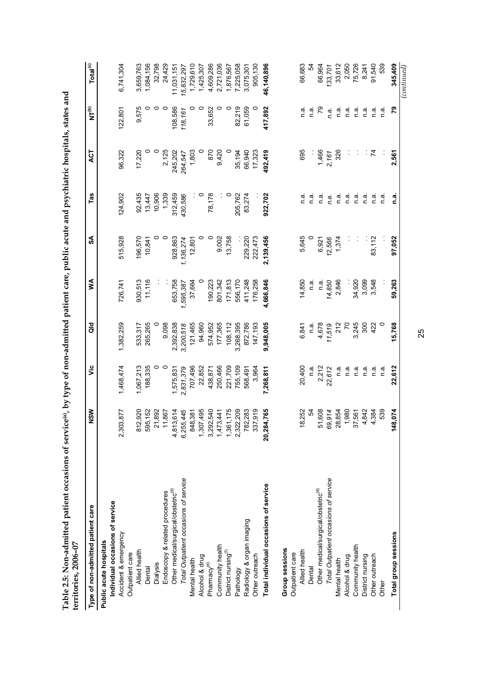| Type of non-admitted patient care               | <b>NSW</b>                       | vic       | <b>aio</b>     | ≸         | SA        | Tas     | ACT     | $\sum_{i=1}^{n}$ | Total <sup>(c)</sup> |
|-------------------------------------------------|----------------------------------|-----------|----------------|-----------|-----------|---------|---------|------------------|----------------------|
| Public acute hospitals                          |                                  |           |                |           |           |         |         |                  |                      |
| Individual occasions of service                 |                                  |           |                |           |           |         |         |                  |                      |
| Accident & emergency                            | 877<br>2,303,                    | 1,468,474 | 1,382,259      | 726,741   | 515,928   | 124,902 | 96,322  | 122,801          | 6,741,304            |
| Outpatient care                                 |                                  |           |                |           |           |         |         |                  |                      |
| Allied health                                   | 920<br>$\frac{2}{8}$             | 1,067,213 | 533,317        | 930,513   | 196,570   | 92,435  | 17,220  | 9,575            | 3,659,763            |
| Dental                                          | ,152<br>595                      | 188,335   | 265,265        | 11,116    | 10,841    | 13,447  |         | 0                | 1,084,156            |
| Dialysis                                        | 892<br>21                        | 0         |                |           | 0         | 10,906  | 0       | $\circ$          | 32,798               |
| Endoscopy & related procedures                  | 867<br>$\tilde{r}$               | $\circ$   | 9,098          |           | $\circ$   | 1,339   | 2,125   | $\circ$          | 24,429               |
| Other medical/surgical/obstetric <sup>(d)</sup> | 614<br>4,813,                    | 1,575,831 | 2,392,838      | 653,758   | 928,863   | 312,459 | 245,202 | 108,586          | 11,031,151           |
| Total Outpatient occasions of service           | 445<br>6,255,                    | 2,831,379 | 3,200,518      | 1,595,387 | 1,136,274 | 430,586 | 264,547 | 118,161          | 15,832,297           |
| Mental health                                   | 381<br>848                       | 707,496   | 121,465        | 37,664    | 12,801    | Î,      | 1,803   | 0                | 1,729,610            |
| Alcohol & drug                                  | 495<br>1,307                     | 22,852    | 94,960         | $\circ$   | 0         | $\circ$ | $\circ$ | $\circ$          | 1,425,307            |
| Pharmacy <sup>(e)</sup>                         | 540<br>3,292                     | 438,871   | 574,952        | 190,223   | 0         | 78,178  | 870     | 33,652           | 4,609,286            |
| Community health                                | 441<br>1,473                     | 250,466   | 177,365        | 801,342   | 9,002     |         | 9,420   | 0                | 2,721,036            |
| District nursing <sup>(f)</sup>                 | 175<br>1,361                     | 221,709   | 108,112        | 171,813   | 13,758    | 0       |         | $\circ$          | 1,876,567            |
| Pathology                                       | ,209<br>2,322                    | 755,109   | 3,268,395      | 556,170   |           | 205,762 | 35,194  | 82,219           | 7,225,058            |
| Radiology & organ imaging                       | 283<br>782                       | 568,491   | 872,786        | 411,248   | 229,220   | 83,274  | 66,940  | 61,059           | 3,075,301            |
| Other outreach                                  | 919<br>337                       | 3,964     | 147,193        | 176,258   | 222,473   |         | 17,323  |                  | 905,130              |
| Total individual occasions of service           | 765<br>20,284                    | 7,268,811 | 9,948,005      | 4,666,846 | 2,139,456 | 922,702 | 492,419 | 417,892          | 46,140,896           |
| <b>Group sessions</b>                           |                                  |           |                |           |           |         |         |                  |                      |
| Outpatient care                                 |                                  |           |                |           |           |         |         |                  |                      |
| Allied health                                   | 252<br>$\frac{8}{1}$             | 20,400    | 6,841          | 14,850    | 5,645     | n a     | 695     | n.a              | 66,683               |
| Dental                                          | R                                | n a.      | n a.           | n.a.      | 0         | n a     |         | n a              | 54                   |
| Other medical/surgical/obstetric <sup>(d)</sup> | 608<br>5                         | 2,212     | 4,678          | n.a.      | 6,921     | n a     | 1,466   | ۶Q               | 66,964               |
| Total Outpatient occasions of service           | 914<br>69,                       | 22,612    | 11,519         | 14,850    | 12,566    | n.a.    | 2,161   | n.a.             | 133,701              |
| Mental health                                   | 854<br>28                        | e ∪       | 212            | 2,846     | 1,374     | n.a.    | 326     | n.a              | 33,612               |
| Alcohol & drug                                  | ,980<br>$\overline{\phantom{0}}$ | n.a.      | $\overline{7}$ |           |           | n.a.    |         | n.a.             | 2,050                |
| Community health                                | 561<br>57                        | e u       | 3,245          | 34,920    |           | n.a     |         | e u              | 75,726               |
| District nursing                                | 842<br>4                         | n.a       | 300            | 3,099     |           | n.a     | ÷,      | n.a              | 8,241                |
| Other outreach                                  | 384                              | n a       | 422            | 3,548     | 83,112    | n.a     | 74      | e.<br>D          | 91,540               |
| Other                                           | 539                              | n a       | 0              |           |           | n.a     |         | n a              | 539                  |
| Total group sessions                            | 074<br>148                       | 22,612    | 15,768         | 59,263    | 97,052    | ີ.<br>ດ | 2,561   | 54               | 345,409              |
|                                                 |                                  |           |                |           |           |         |         |                  | $_{control}$         |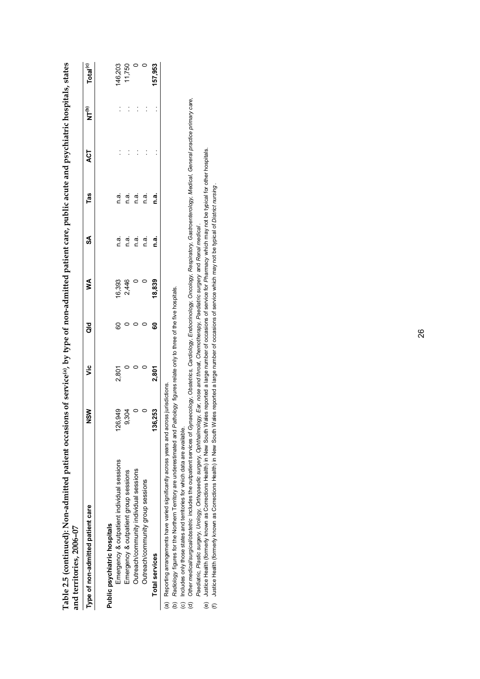| Type of non-admitted patient care          | <b>NSM</b>  | ں<br>آ | ਰ<br>ਹ | ⋚      | S    | Tas      | ACT | e<br>Z | Total <sup>(c)</sup> |
|--------------------------------------------|-------------|--------|--------|--------|------|----------|-----|--------|----------------------|
| Public psychiatric hospitals               |             |        |        |        |      |          |     |        |                      |
| Emergency & outpatient individual sessions | 679<br>26   | 2,801  | 80     | 16,393 | n a. | n a      |     |        | 146,203              |
| Emergency & outpatient group sessions      | SQ          |        |        | 2,446  | n.a. | n.a.     |     |        | 11,750               |
| Outreach/community individual sessions     |             |        |        |        | n a. | n.a.     |     |        |                      |
| Outreach/community group sessions          |             |        |        |        | n a  | n.a.     |     |        |                      |
| <b>Total services</b>                      | ,253<br>136 | 2,801  | ៜ      | 18,839 | n.a. | ี<br>ด.ส |     |        | 157,953              |

**Table 2.5 (continued): Non-admitted patient occasions of service(a), by type of non-admitted patient care, public acute and psychiatric hospitals, states**  perchiatric hoenitale etates  $\vec{a}$ aublic agusto  $\overline{\phantom{a}}$ Table 2 E footballen almitted with an american of cominged by two countries with a straight

Radiology figures for the Northern Territory are underestimated and Pathology figures relate only to three of the five hospitals. (b) *Radiology* figures for the Northern Territory are underestimated and *Pathology* figures relate only to three of the five hospitals.

Includes only those states and territories for which data are available. (c) Includes only those states and territories for which data are available.

Other medical/surgical/obstetric includes the outpatient services of Gynaecology, Obstetrics, Cardiology, Endocrinology, Oncology, Respiratory, Gastroenterology, Medical, General practice primary care, (d) *Other medical/surgical/obstetric* includes the outpatient services of *Gynaecology, Obstetrics, Cardiology, Endocrinology, Oncology, Respiratory, Gastroenterology, Medical, General practice primary care,* e o e

*Paediatric, Plastic surgery, Urology, Orthopaedic surgery, Ophthalmology, Ear, nose and throat, Chemotherapy, Paediatric surgery* and *Renal medical* .

*Paediatric, Plastic surgery, Urology, Orthopaedic surgery, Ophthalmology, Ear, nose and throat, Chemotherapy, Paediatric surgery and Renal medical.<br>Justice Health (formerly known as Corrections Health) in New South Wales* (e) Justice Health (formerly known as Corrections Health) in New South Wales reported a large number of occasions of service for *Pharmacy* which may not be typical for other hospitals.  $\widehat{\mathbb{e}}$ 

Justice Health (formerly known as Corrections Health) in New South Wales reported a large number of occasions of service which may not be typical of District nursing. (f) Justice Health (formerly known as Corrections Health) in New South Wales reported a large number of occasions of service which may not be typical of *District nursing* .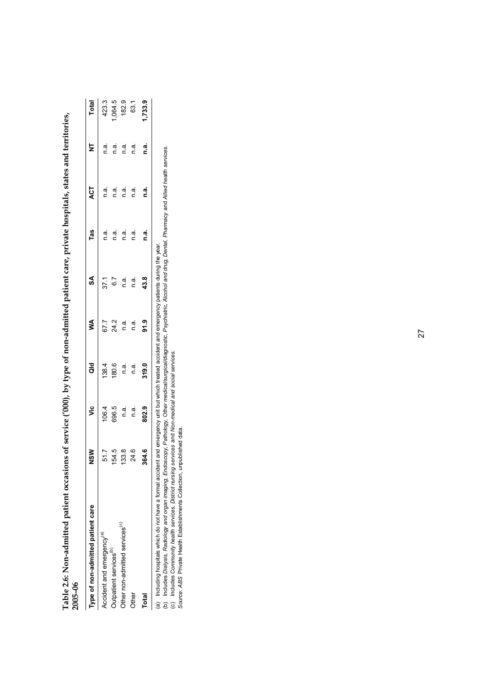| 2005-06                                    |                    |                                |               |                     |                               |                                                                                                                             |                                                                                                                                                           |                                                |                                   |
|--------------------------------------------|--------------------|--------------------------------|---------------|---------------------|-------------------------------|-----------------------------------------------------------------------------------------------------------------------------|-----------------------------------------------------------------------------------------------------------------------------------------------------------|------------------------------------------------|-----------------------------------|
| Type of non-admitted patient care          | $\frac{8}{2}$      | νiς                            | $\frac{d}{d}$ | <b>S</b>            | SA                            | Tas                                                                                                                         | ACT                                                                                                                                                       | $\overline{\mathsf{z}}$                        | Total                             |
| Accident and emergency <sup>(a)</sup>      | ΞR<br>¢            |                                |               |                     |                               |                                                                                                                             |                                                                                                                                                           | ie u                                           |                                   |
| Outpatient services <sup>(b)</sup>         | $\frac{4}{3}$<br>Ω |                                |               |                     |                               |                                                                                                                             |                                                                                                                                                           |                                                |                                   |
| Other non-admitted services <sup>(c)</sup> | 3.8                | 1064<br>696 ¤ ¤ ¤<br>696 ¤ ¤ ¤ |               |                     |                               | $\begin{array}{ccc}\n\overline{a} & \overline{a} & \overline{a} \\ \overline{c} & \overline{c} & \overline{c}\n\end{array}$ |                                                                                                                                                           | $\begin{bmatrix} 1 & 1 \\ 0 & 1 \end{bmatrix}$ | 423.3<br>1,064.5<br>182.9<br>63.1 |
| <b>Other</b>                               | 24.6               |                                |               | 7.7<br>24.8<br>67.8 | $37.1$<br>6.7<br>r.a.<br>r.a. | n.a.                                                                                                                        | $\begin{array}{ccc}\n\overline{a} & \overline{a} & \overline{a} & \overline{a} \\ \overline{c} & \overline{c} & \overline{c} & \overline{c}\n\end{array}$ | n.a.                                           |                                   |
| <b>Total</b>                               | 364.6              | 802.9                          | 319.0         | 91.9                | 43.8                          | n.a.                                                                                                                        | n.a.                                                                                                                                                      | n.a.                                           | 1,733.9                           |
|                                            |                    |                                |               |                     |                               |                                                                                                                             |                                                                                                                                                           |                                                |                                   |

Table 2.6: Non-admitted patient occasions of service ('000), by type of non-admitted patient care, private hospitals, states and territories,<br>2005–06 **Table 2.6: Non-admitted patient occasions of service ('000), by type of non-admitted patient care, private hospitals, states and territories, 2005–06** 

(a) Including hospitals which do not have a formal accident and emergency unit but which treated accident and emergency patients during the year.

(a) Including hospitals which do not have a formal accident and emergency unit but which treated accident and emergency patients during the year.<br>(b) Includes *Dialysis, Radiology and organ imaging, Endoscopy, Pathology, O* (b) Includes *Dialysis, Radiology and organ imaging, Endoscopy, Pathology, Other medical/surgical/diagnostic, Psychiatric, Alcohol and drug, Dental, Pharmacy* and *Allied health services.*

(c) Includes *Community health services, District nursing services* and *Non-medical and social services. Source: ABS* Private Health Establishments Collection, unpublished data.